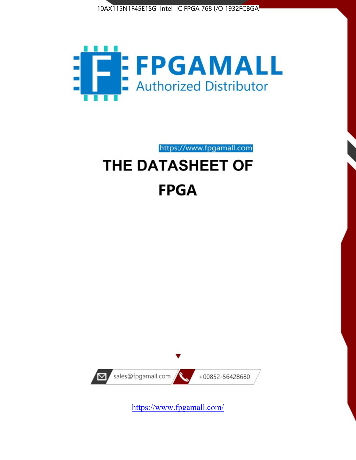



https://www.fpgamall.com

# THE DATASHEET OF **FPGA**



<https://www.fpgamall.com/>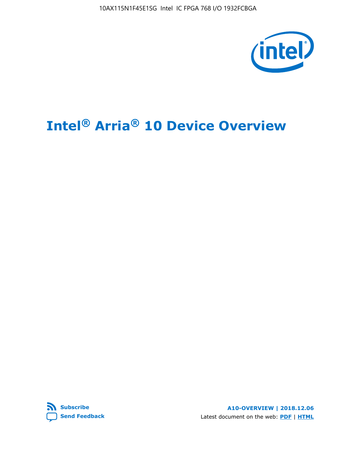10AX115N1F45E1SG Intel IC FPGA 768 I/O 1932FCBGA



# **Intel® Arria® 10 Device Overview**



**A10-OVERVIEW | 2018.12.06** Latest document on the web: **[PDF](https://www.intel.com/content/dam/www/programmable/us/en/pdfs/literature/hb/arria-10/a10_overview.pdf)** | **[HTML](https://www.intel.com/content/www/us/en/programmable/documentation/sam1403480274650.html)**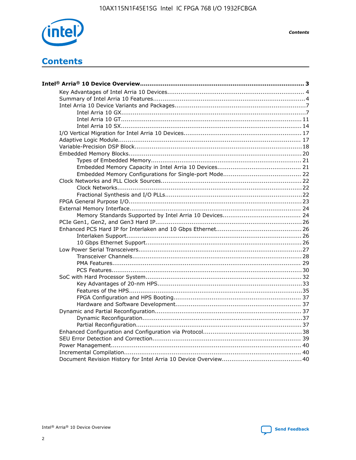

**Contents** 

# **Contents**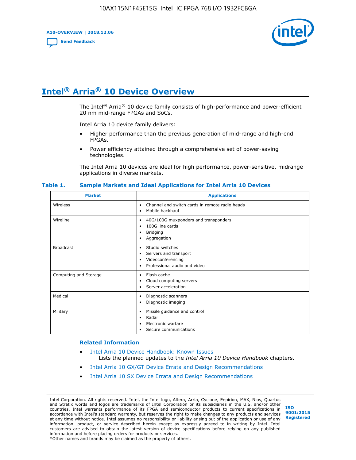**A10-OVERVIEW | 2018.12.06**

**[Send Feedback](mailto:FPGAtechdocfeedback@intel.com?subject=Feedback%20on%20Intel%20Arria%2010%20Device%20Overview%20(A10-OVERVIEW%202018.12.06)&body=We%20appreciate%20your%20feedback.%20In%20your%20comments,%20also%20specify%20the%20page%20number%20or%20paragraph.%20Thank%20you.)**



# **Intel® Arria® 10 Device Overview**

The Intel<sup>®</sup> Arria<sup>®</sup> 10 device family consists of high-performance and power-efficient 20 nm mid-range FPGAs and SoCs.

Intel Arria 10 device family delivers:

- Higher performance than the previous generation of mid-range and high-end FPGAs.
- Power efficiency attained through a comprehensive set of power-saving technologies.

The Intel Arria 10 devices are ideal for high performance, power-sensitive, midrange applications in diverse markets.

| <b>Market</b>         | <b>Applications</b>                                                                                               |
|-----------------------|-------------------------------------------------------------------------------------------------------------------|
| Wireless              | Channel and switch cards in remote radio heads<br>٠<br>Mobile backhaul<br>٠                                       |
| Wireline              | 40G/100G muxponders and transponders<br>٠<br>100G line cards<br>٠<br><b>Bridging</b><br>٠<br>Aggregation<br>٠     |
| <b>Broadcast</b>      | Studio switches<br>٠<br>Servers and transport<br>٠<br>Videoconferencing<br>٠<br>Professional audio and video<br>٠ |
| Computing and Storage | Flash cache<br>٠<br>Cloud computing servers<br>٠<br>Server acceleration<br>٠                                      |
| Medical               | Diagnostic scanners<br>٠<br>Diagnostic imaging<br>٠                                                               |
| Military              | Missile guidance and control<br>٠<br>Radar<br>٠<br>Electronic warfare<br>٠<br>Secure communications<br>٠          |

#### **Table 1. Sample Markets and Ideal Applications for Intel Arria 10 Devices**

#### **Related Information**

- [Intel Arria 10 Device Handbook: Known Issues](http://www.altera.com/support/kdb/solutions/rd07302013_646.html) Lists the planned updates to the *Intel Arria 10 Device Handbook* chapters.
- [Intel Arria 10 GX/GT Device Errata and Design Recommendations](https://www.intel.com/content/www/us/en/programmable/documentation/agz1493851706374.html#yqz1494433888646)
- [Intel Arria 10 SX Device Errata and Design Recommendations](https://www.intel.com/content/www/us/en/programmable/documentation/cru1462832385668.html#cru1462832558642)

Intel Corporation. All rights reserved. Intel, the Intel logo, Altera, Arria, Cyclone, Enpirion, MAX, Nios, Quartus and Stratix words and logos are trademarks of Intel Corporation or its subsidiaries in the U.S. and/or other countries. Intel warrants performance of its FPGA and semiconductor products to current specifications in accordance with Intel's standard warranty, but reserves the right to make changes to any products and services at any time without notice. Intel assumes no responsibility or liability arising out of the application or use of any information, product, or service described herein except as expressly agreed to in writing by Intel. Intel customers are advised to obtain the latest version of device specifications before relying on any published information and before placing orders for products or services. \*Other names and brands may be claimed as the property of others.

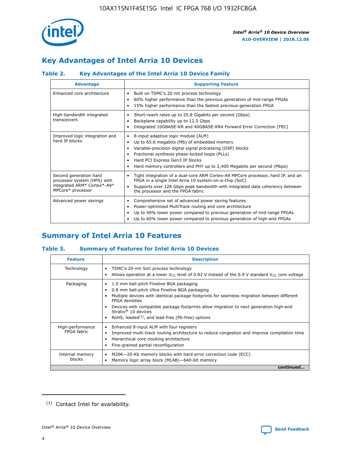

# **Key Advantages of Intel Arria 10 Devices**

# **Table 2. Key Advantages of the Intel Arria 10 Device Family**

| <b>Advantage</b>                                                                                          | <b>Supporting Feature</b>                                                                                                                                                                                                                                                                                                |  |  |  |  |  |
|-----------------------------------------------------------------------------------------------------------|--------------------------------------------------------------------------------------------------------------------------------------------------------------------------------------------------------------------------------------------------------------------------------------------------------------------------|--|--|--|--|--|
| Enhanced core architecture                                                                                | Built on TSMC's 20 nm process technology<br>٠<br>60% higher performance than the previous generation of mid-range FPGAs<br>٠<br>15% higher performance than the fastest previous-generation FPGA<br>٠                                                                                                                    |  |  |  |  |  |
| High-bandwidth integrated<br>transceivers                                                                 | Short-reach rates up to 25.8 Gigabits per second (Gbps)<br>٠<br>Backplane capability up to 12.5 Gbps<br>٠<br>Integrated 10GBASE-KR and 40GBASE-KR4 Forward Error Correction (FEC)<br>٠                                                                                                                                   |  |  |  |  |  |
| Improved logic integration and<br>hard IP blocks                                                          | 8-input adaptive logic module (ALM)<br>٠<br>Up to 65.6 megabits (Mb) of embedded memory<br>٠<br>Variable-precision digital signal processing (DSP) blocks<br>Fractional synthesis phase-locked loops (PLLs)<br>Hard PCI Express Gen3 IP blocks<br>Hard memory controllers and PHY up to 2,400 Megabits per second (Mbps) |  |  |  |  |  |
| Second generation hard<br>processor system (HPS) with<br>integrated ARM* Cortex*-A9*<br>MPCore* processor | Tight integration of a dual-core ARM Cortex-A9 MPCore processor, hard IP, and an<br>٠<br>FPGA in a single Intel Arria 10 system-on-a-chip (SoC)<br>Supports over 128 Gbps peak bandwidth with integrated data coherency between<br>$\bullet$<br>the processor and the FPGA fabric                                        |  |  |  |  |  |
| Advanced power savings                                                                                    | Comprehensive set of advanced power saving features<br>٠<br>Power-optimized MultiTrack routing and core architecture<br>٠<br>Up to 40% lower power compared to previous generation of mid-range FPGAs<br>Up to 60% lower power compared to previous generation of high-end FPGAs                                         |  |  |  |  |  |

# **Summary of Intel Arria 10 Features**

## **Table 3. Summary of Features for Intel Arria 10 Devices**

| <b>Feature</b>                  | <b>Description</b>                                                                                                                                                                                                                                                                                                                                                                                       |
|---------------------------------|----------------------------------------------------------------------------------------------------------------------------------------------------------------------------------------------------------------------------------------------------------------------------------------------------------------------------------------------------------------------------------------------------------|
| Technology                      | TSMC's 20-nm SoC process technology<br>٠<br>Allows operation at a lower $V_{\text{CC}}$ level of 0.82 V instead of the 0.9 V standard $V_{\text{CC}}$ core voltage                                                                                                                                                                                                                                       |
| Packaging                       | 1.0 mm ball-pitch Fineline BGA packaging<br>0.8 mm ball-pitch Ultra Fineline BGA packaging<br>Multiple devices with identical package footprints for seamless migration between different<br><b>FPGA</b> densities<br>Devices with compatible package footprints allow migration to next generation high-end<br>Stratix $\mathcal{R}$ 10 devices<br>RoHS, leaded $(1)$ , and lead-free (Pb-free) options |
| High-performance<br>FPGA fabric | Enhanced 8-input ALM with four registers<br>٠<br>Improved multi-track routing architecture to reduce congestion and improve compilation time<br>Hierarchical core clocking architecture<br>Fine-grained partial reconfiguration                                                                                                                                                                          |
| Internal memory<br>blocks       | M20K-20-Kb memory blocks with hard error correction code (ECC)<br>Memory logic array block (MLAB)-640-bit memory                                                                                                                                                                                                                                                                                         |
|                                 | continued                                                                                                                                                                                                                                                                                                                                                                                                |



<sup>(1)</sup> Contact Intel for availability.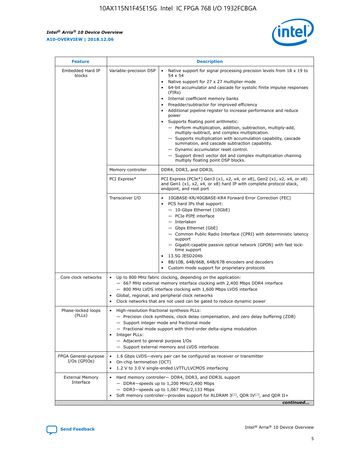$\mathsf{r}$ 



| <b>Feature</b>                         |                                                                                                                | <b>Description</b>                                                                                                                                                                                                                                                                                                                                                                                                                                                                                                                                                                                                                                                                                                                                                                                                                          |
|----------------------------------------|----------------------------------------------------------------------------------------------------------------|---------------------------------------------------------------------------------------------------------------------------------------------------------------------------------------------------------------------------------------------------------------------------------------------------------------------------------------------------------------------------------------------------------------------------------------------------------------------------------------------------------------------------------------------------------------------------------------------------------------------------------------------------------------------------------------------------------------------------------------------------------------------------------------------------------------------------------------------|
| Embedded Hard IP<br>blocks             | Variable-precision DSP                                                                                         | Native support for signal processing precision levels from $18 \times 19$ to<br>$\bullet$<br>54 x 54<br>Native support for 27 x 27 multiplier mode<br>64-bit accumulator and cascade for systolic finite impulse responses<br>(FIRs)<br>Internal coefficient memory banks<br>٠<br>Preadder/subtractor for improved efficiency<br>Additional pipeline register to increase performance and reduce<br>power<br>Supports floating point arithmetic:<br>- Perform multiplication, addition, subtraction, multiply-add,<br>multiply-subtract, and complex multiplication.<br>- Supports multiplication with accumulation capability, cascade<br>summation, and cascade subtraction capability.<br>- Dynamic accumulator reset control.<br>- Support direct vector dot and complex multiplication chaining<br>multiply floating point DSP blocks. |
|                                        | Memory controller                                                                                              | DDR4, DDR3, and DDR3L                                                                                                                                                                                                                                                                                                                                                                                                                                                                                                                                                                                                                                                                                                                                                                                                                       |
|                                        | PCI Express*                                                                                                   | PCI Express (PCIe*) Gen3 (x1, x2, x4, or x8), Gen2 (x1, x2, x4, or x8)<br>and Gen1 (x1, x2, x4, or x8) hard IP with complete protocol stack,<br>endpoint, and root port                                                                                                                                                                                                                                                                                                                                                                                                                                                                                                                                                                                                                                                                     |
|                                        | Transceiver I/O                                                                                                | 10GBASE-KR/40GBASE-KR4 Forward Error Correction (FEC)<br>PCS hard IPs that support:<br>- 10-Gbps Ethernet (10GbE)<br>- PCIe PIPE interface<br>- Interlaken<br>- Gbps Ethernet (GbE)<br>- Common Public Radio Interface (CPRI) with deterministic latency<br>support<br>- Gigabit-capable passive optical network (GPON) with fast lock-<br>time support<br>13.5G JESD204b<br>$\bullet$<br>8B/10B, 64B/66B, 64B/67B encoders and decoders<br>Custom mode support for proprietary protocols                                                                                                                                                                                                                                                                                                                                                   |
| Core clock networks                    | $\bullet$<br>$\bullet$                                                                                         | Up to 800 MHz fabric clocking, depending on the application:<br>- 667 MHz external memory interface clocking with 2,400 Mbps DDR4 interface<br>- 800 MHz LVDS interface clocking with 1,600 Mbps LVDS interface<br>Global, regional, and peripheral clock networks<br>Clock networks that are not used can be gated to reduce dynamic power                                                                                                                                                                                                                                                                                                                                                                                                                                                                                                 |
| Phase-locked loops<br>(PLLs)           | High-resolution fractional synthesis PLLs:<br>$\bullet$<br>Integer PLLs:<br>- Adjacent to general purpose I/Os | - Precision clock synthesis, clock delay compensation, and zero delay buffering (ZDB)<br>- Support integer mode and fractional mode<br>- Fractional mode support with third-order delta-sigma modulation<br>- Support external memory and LVDS interfaces                                                                                                                                                                                                                                                                                                                                                                                                                                                                                                                                                                                   |
| FPGA General-purpose<br>$I/Os$ (GPIOs) | On-chip termination (OCT)<br>$\bullet$                                                                         | 1.6 Gbps LVDS-every pair can be configured as receiver or transmitter<br>1.2 V to 3.0 V single-ended LVTTL/LVCMOS interfacing                                                                                                                                                                                                                                                                                                                                                                                                                                                                                                                                                                                                                                                                                                               |
| <b>External Memory</b><br>Interface    |                                                                                                                | Hard memory controller- DDR4, DDR3, and DDR3L support<br>$-$ DDR4-speeds up to 1,200 MHz/2,400 Mbps<br>- DDR3-speeds up to 1,067 MHz/2,133 Mbps<br>Soft memory controller—provides support for RLDRAM $3^{(2)}$ , QDR IV $(2^2)$ , and QDR II+<br>continued                                                                                                                                                                                                                                                                                                                                                                                                                                                                                                                                                                                 |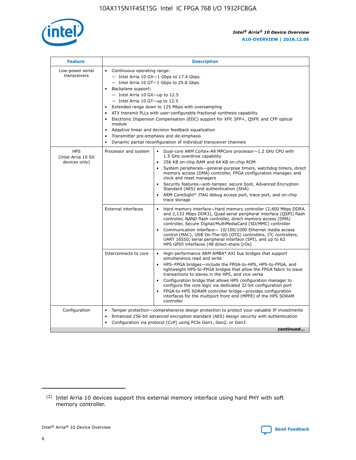

| <b>Feature</b>                                    | <b>Description</b>                                                                                                                                                                                                                                                                                                                                                                                                                                                                                                                                                                                                                             |  |  |  |  |  |  |  |
|---------------------------------------------------|------------------------------------------------------------------------------------------------------------------------------------------------------------------------------------------------------------------------------------------------------------------------------------------------------------------------------------------------------------------------------------------------------------------------------------------------------------------------------------------------------------------------------------------------------------------------------------------------------------------------------------------------|--|--|--|--|--|--|--|
| Low-power serial<br>transceivers                  | • Continuous operating range:<br>- Intel Arria 10 GX-1 Gbps to 17.4 Gbps<br>- Intel Arria 10 GT-1 Gbps to 25.8 Gbps<br>Backplane support:<br>$-$ Intel Arria 10 GX-up to 12.5<br>$-$ Intel Arria 10 GT-up to 12.5<br>Extended range down to 125 Mbps with oversampling<br>ATX transmit PLLs with user-configurable fractional synthesis capability<br>• Electronic Dispersion Compensation (EDC) support for XFP, SFP+, QSFP, and CFP optical<br>module<br>• Adaptive linear and decision feedback equalization<br>Transmitter pre-emphasis and de-emphasis<br>$\bullet$<br>Dynamic partial reconfiguration of individual transceiver channels |  |  |  |  |  |  |  |
| <b>HPS</b><br>(Intel Arria 10 SX<br>devices only) | Processor and system<br>Dual-core ARM Cortex-A9 MPCore processor-1.2 GHz CPU with<br>$\bullet$<br>1.5 GHz overdrive capability<br>256 KB on-chip RAM and 64 KB on-chip ROM<br>$\bullet$<br>System peripherals-general-purpose timers, watchdog timers, direct<br>memory access (DMA) controller, FPGA configuration manager, and<br>clock and reset managers<br>• Security features—anti-tamper, secure boot, Advanced Encryption<br>Standard (AES) and authentication (SHA)<br>ARM CoreSight* JTAG debug access port, trace port, and on-chip<br>trace storage                                                                                |  |  |  |  |  |  |  |
|                                                   | <b>External interfaces</b><br>Hard memory interface—Hard memory controller (2,400 Mbps DDR4,<br>$\bullet$<br>and 2,133 Mbps DDR3), Quad serial peripheral interface (QSPI) flash<br>controller, NAND flash controller, direct memory access (DMA)<br>controller, Secure Digital/MultiMediaCard (SD/MMC) controller<br>Communication interface-10/100/1000 Ethernet media access<br>control (MAC), USB On-The-GO (OTG) controllers, I <sup>2</sup> C controllers,<br>UART 16550, serial peripheral interface (SPI), and up to 62<br>HPS GPIO interfaces (48 direct-share I/Os)                                                                  |  |  |  |  |  |  |  |
|                                                   | High-performance ARM AMBA* AXI bus bridges that support<br>Interconnects to core<br>$\bullet$<br>simultaneous read and write<br>HPS-FPGA bridges—include the FPGA-to-HPS, HPS-to-FPGA, and<br>$\bullet$<br>lightweight HPS-to-FPGA bridges that allow the FPGA fabric to issue<br>transactions to slaves in the HPS, and vice versa<br>Configuration bridge that allows HPS configuration manager to<br>configure the core logic via dedicated 32-bit configuration port<br>FPGA-to-HPS SDRAM controller bridge-provides configuration<br>interfaces for the multiport front end (MPFE) of the HPS SDRAM<br>controller                         |  |  |  |  |  |  |  |
| Configuration                                     | Tamper protection—comprehensive design protection to protect your valuable IP investments<br>Enhanced 256-bit advanced encryption standard (AES) design security with authentication<br>$\bullet$<br>Configuration via protocol (CvP) using PCIe Gen1, Gen2, or Gen3<br>continued                                                                                                                                                                                                                                                                                                                                                              |  |  |  |  |  |  |  |

<sup>(2)</sup> Intel Arria 10 devices support this external memory interface using hard PHY with soft memory controller.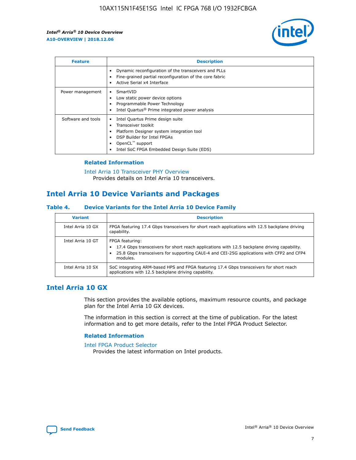

| <b>Feature</b>     | <b>Description</b>                                                                                                                                                                                                            |
|--------------------|-------------------------------------------------------------------------------------------------------------------------------------------------------------------------------------------------------------------------------|
|                    | Dynamic reconfiguration of the transceivers and PLLs<br>Fine-grained partial reconfiguration of the core fabric<br>Active Serial x4 Interface<br>$\bullet$                                                                    |
| Power management   | SmartVID<br>Low static power device options<br>Programmable Power Technology<br>Intel Quartus <sup>®</sup> Prime integrated power analysis                                                                                    |
| Software and tools | Intel Quartus Prime design suite<br>Transceiver toolkit<br>$\bullet$<br>Platform Designer system integration tool<br>DSP Builder for Intel FPGAs<br>OpenCL <sup>™</sup> support<br>Intel SoC FPGA Embedded Design Suite (EDS) |

## **Related Information**

[Intel Arria 10 Transceiver PHY Overview](https://www.intel.com/content/www/us/en/programmable/documentation/nik1398707230472.html#nik1398706768037) Provides details on Intel Arria 10 transceivers.

# **Intel Arria 10 Device Variants and Packages**

#### **Table 4. Device Variants for the Intel Arria 10 Device Family**

| <b>Variant</b>    | <b>Description</b>                                                                                                                                                                                                     |
|-------------------|------------------------------------------------------------------------------------------------------------------------------------------------------------------------------------------------------------------------|
| Intel Arria 10 GX | FPGA featuring 17.4 Gbps transceivers for short reach applications with 12.5 backplane driving<br>capability.                                                                                                          |
| Intel Arria 10 GT | FPGA featuring:<br>17.4 Gbps transceivers for short reach applications with 12.5 backplane driving capability.<br>25.8 Gbps transceivers for supporting CAUI-4 and CEI-25G applications with CFP2 and CFP4<br>modules. |
| Intel Arria 10 SX | SoC integrating ARM-based HPS and FPGA featuring 17.4 Gbps transceivers for short reach<br>applications with 12.5 backplane driving capability.                                                                        |

# **Intel Arria 10 GX**

This section provides the available options, maximum resource counts, and package plan for the Intel Arria 10 GX devices.

The information in this section is correct at the time of publication. For the latest information and to get more details, refer to the Intel FPGA Product Selector.

### **Related Information**

#### [Intel FPGA Product Selector](http://www.altera.com/products/selector/psg-selector.html) Provides the latest information on Intel products.

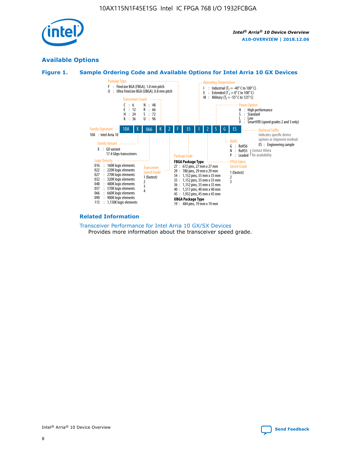

# **Available Options**





#### **Related Information**

[Transceiver Performance for Intel Arria 10 GX/SX Devices](https://www.intel.com/content/www/us/en/programmable/documentation/mcn1413182292568.html#mcn1413213965502) Provides more information about the transceiver speed grade.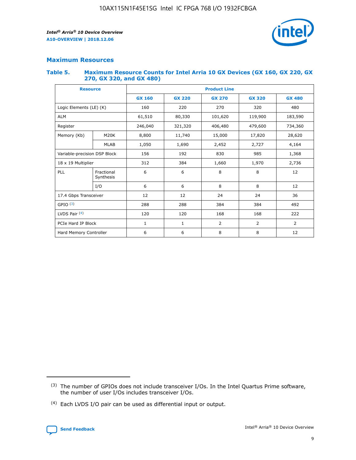

# **Maximum Resources**

#### **Table 5. Maximum Resource Counts for Intel Arria 10 GX Devices (GX 160, GX 220, GX 270, GX 320, and GX 480)**

| <b>Resource</b>              |                         | <b>Product Line</b> |                   |                    |                |                |  |  |  |
|------------------------------|-------------------------|---------------------|-------------------|--------------------|----------------|----------------|--|--|--|
|                              |                         | <b>GX 160</b>       | <b>GX 220</b>     | <b>GX 270</b>      | <b>GX 320</b>  | <b>GX 480</b>  |  |  |  |
| Logic Elements (LE) (K)      |                         | 160                 | 220               | 270                | 320            | 480            |  |  |  |
| <b>ALM</b>                   |                         | 61,510              | 80,330            | 101,620            | 119,900        | 183,590        |  |  |  |
| Register                     |                         | 246,040             | 321,320           | 406,480<br>479,600 |                | 734,360        |  |  |  |
| Memory (Kb)                  | M <sub>20</sub> K       | 8,800               | 11,740<br>15,000  |                    | 17,820         | 28,620         |  |  |  |
|                              | <b>MLAB</b>             | 1,050               | 1,690<br>2,452    |                    | 2,727          | 4,164          |  |  |  |
| Variable-precision DSP Block |                         | 156                 | 192<br>830<br>985 |                    |                | 1,368          |  |  |  |
| 18 x 19 Multiplier           |                         | 312                 | 384               | 1,970<br>1,660     |                | 2,736          |  |  |  |
| PLL                          | Fractional<br>Synthesis | 6                   | 6                 | 8                  | 8              | 12             |  |  |  |
|                              | I/O                     | 6                   | 6                 | 8                  | 8              | 12             |  |  |  |
| 17.4 Gbps Transceiver        |                         | 12                  | 12                | 24                 | 24             | 36             |  |  |  |
| GPIO <sup>(3)</sup>          |                         | 288                 | 288               | 384<br>384         |                | 492            |  |  |  |
| LVDS Pair $(4)$              |                         | 120                 | 120               | 168                | 168            | 222            |  |  |  |
| PCIe Hard IP Block           |                         | 1                   | 1                 | 2                  | $\overline{2}$ | $\overline{2}$ |  |  |  |
| Hard Memory Controller       |                         | 6                   | 6                 | 8                  | 8              | 12             |  |  |  |

<sup>(4)</sup> Each LVDS I/O pair can be used as differential input or output.



<sup>(3)</sup> The number of GPIOs does not include transceiver I/Os. In the Intel Quartus Prime software, the number of user I/Os includes transceiver I/Os.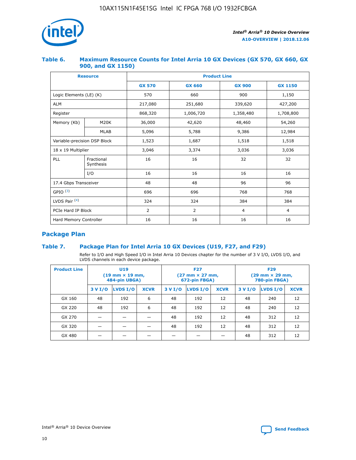

## **Table 6. Maximum Resource Counts for Intel Arria 10 GX Devices (GX 570, GX 660, GX 900, and GX 1150)**

|                              | <b>Resource</b>         | <b>Product Line</b> |                |                |                |  |  |  |
|------------------------------|-------------------------|---------------------|----------------|----------------|----------------|--|--|--|
|                              |                         | <b>GX 570</b>       | <b>GX 660</b>  | <b>GX 900</b>  | <b>GX 1150</b> |  |  |  |
| Logic Elements (LE) (K)      |                         | 570                 | 660            | 900            | 1,150          |  |  |  |
| <b>ALM</b>                   |                         | 217,080             | 251,680        | 339,620        | 427,200        |  |  |  |
| Register                     |                         | 868,320             | 1,006,720      | 1,358,480      | 1,708,800      |  |  |  |
| Memory (Kb)                  | <b>M20K</b>             | 36,000              | 42,620         | 48,460         | 54,260         |  |  |  |
|                              | <b>MLAB</b>             | 5,096               | 5,788          | 9,386          | 12,984         |  |  |  |
| Variable-precision DSP Block |                         | 1,523               | 1,687          | 1,518          | 1,518          |  |  |  |
| 18 x 19 Multiplier           |                         | 3,046               | 3,374          | 3,036          | 3,036          |  |  |  |
| PLL                          | Fractional<br>Synthesis | 16                  | 16             | 32             | 32             |  |  |  |
|                              | I/O                     | 16                  | 16             | 16             | 16             |  |  |  |
| 17.4 Gbps Transceiver        |                         | 48                  | 48             | 96             | 96             |  |  |  |
| GPIO <sup>(3)</sup>          |                         | 696                 | 696            | 768            | 768            |  |  |  |
| LVDS Pair $(4)$              |                         | 324                 | 324            | 384            | 384            |  |  |  |
| PCIe Hard IP Block           |                         | 2                   | $\overline{2}$ | $\overline{4}$ | $\overline{4}$ |  |  |  |
| Hard Memory Controller       |                         | 16                  | 16             | 16             | 16             |  |  |  |

# **Package Plan**

# **Table 7. Package Plan for Intel Arria 10 GX Devices (U19, F27, and F29)**

Refer to I/O and High Speed I/O in Intel Arria 10 Devices chapter for the number of 3 V I/O, LVDS I/O, and LVDS channels in each device package.

| <b>Product Line</b> | U <sub>19</sub><br>$(19 \text{ mm} \times 19 \text{ mm})$<br>484-pin UBGA) |          |             |         | <b>F27</b><br>(27 mm × 27 mm,<br>672-pin FBGA) |             | <b>F29</b><br>(29 mm × 29 mm,<br>780-pin FBGA) |          |             |  |
|---------------------|----------------------------------------------------------------------------|----------|-------------|---------|------------------------------------------------|-------------|------------------------------------------------|----------|-------------|--|
|                     | 3 V I/O                                                                    | LVDS I/O | <b>XCVR</b> | 3 V I/O | LVDS I/O                                       | <b>XCVR</b> | 3 V I/O                                        | LVDS I/O | <b>XCVR</b> |  |
| GX 160              | 48                                                                         | 192      | 6           | 48      | 192                                            | 12          | 48                                             | 240      | 12          |  |
| GX 220              | 48                                                                         | 192      | 6           | 48      | 192                                            | 12          | 48                                             | 240      | 12          |  |
| GX 270              |                                                                            |          |             | 48      | 192                                            | 12          | 48                                             | 312      | 12          |  |
| GX 320              |                                                                            |          |             | 48      | 192                                            | 12          | 48                                             | 312      | 12          |  |
| GX 480              |                                                                            |          |             |         |                                                |             | 48                                             | 312      | 12          |  |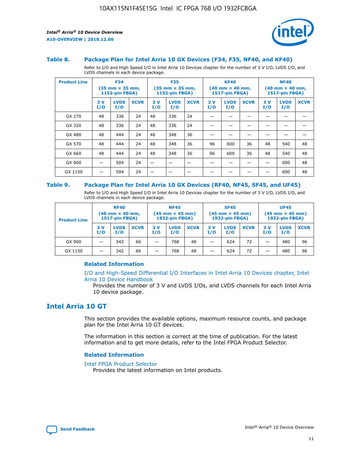

#### **Table 8. Package Plan for Intel Arria 10 GX Devices (F34, F35, NF40, and KF40)**

Refer to I/O and High Speed I/O in Intel Arria 10 Devices chapter for the number of 3 V I/O, LVDS I/O, and LVDS channels in each device package.

| <b>Product Line</b> | <b>F34</b><br>$(35 \text{ mm} \times 35 \text{ mm})$<br>1152-pin FBGA) |                    | <b>F35</b><br>$(35 \text{ mm} \times 35 \text{ mm})$<br><b>1152-pin FBGA)</b> |           | <b>KF40</b><br>$(40$ mm $\times$ 40 mm,<br>1517-pin FBGA) |             |           | <b>NF40</b><br>$(40$ mm $\times$ 40 mm,<br><b>1517-pin FBGA)</b> |             |            |                    |             |
|---------------------|------------------------------------------------------------------------|--------------------|-------------------------------------------------------------------------------|-----------|-----------------------------------------------------------|-------------|-----------|------------------------------------------------------------------|-------------|------------|--------------------|-------------|
|                     | 3V<br>I/O                                                              | <b>LVDS</b><br>I/O | <b>XCVR</b>                                                                   | 3V<br>I/O | <b>LVDS</b><br>I/O                                        | <b>XCVR</b> | 3V<br>I/O | <b>LVDS</b><br>I/O                                               | <b>XCVR</b> | 3 V<br>I/O | <b>LVDS</b><br>I/O | <b>XCVR</b> |
| GX 270              | 48                                                                     | 336                | 24                                                                            | 48        | 336                                                       | 24          |           |                                                                  |             |            |                    |             |
| GX 320              | 48                                                                     | 336                | 24                                                                            | 48        | 336                                                       | 24          |           |                                                                  |             |            |                    |             |
| GX 480              | 48                                                                     | 444                | 24                                                                            | 48        | 348                                                       | 36          |           |                                                                  |             |            |                    |             |
| GX 570              | 48                                                                     | 444                | 24                                                                            | 48        | 348                                                       | 36          | 96        | 600                                                              | 36          | 48         | 540                | 48          |
| GX 660              | 48                                                                     | 444                | 24                                                                            | 48        | 348                                                       | 36          | 96        | 600                                                              | 36          | 48         | 540                | 48          |
| GX 900              |                                                                        | 504                | 24                                                                            | -         |                                                           |             |           |                                                                  |             |            | 600                | 48          |
| GX 1150             |                                                                        | 504                | 24                                                                            |           |                                                           |             |           |                                                                  |             |            | 600                | 48          |

#### **Table 9. Package Plan for Intel Arria 10 GX Devices (RF40, NF45, SF45, and UF45)**

Refer to I/O and High Speed I/O in Intel Arria 10 Devices chapter for the number of 3 V I/O, LVDS I/O, and LVDS channels in each device package.

| <b>Product Line</b> | <b>RF40</b><br>$(40$ mm $\times$ 40 mm,<br>1517-pin FBGA) |                    | <b>NF45</b><br>$(45 \text{ mm} \times 45 \text{ mm})$<br><b>1932-pin FBGA)</b> |            |                    | <b>SF45</b><br>$(45 \text{ mm} \times 45 \text{ mm})$<br><b>1932-pin FBGA)</b> |            |                    | <b>UF45</b><br>$(45 \text{ mm} \times 45 \text{ mm})$<br><b>1932-pin FBGA)</b> |           |                    |             |
|---------------------|-----------------------------------------------------------|--------------------|--------------------------------------------------------------------------------|------------|--------------------|--------------------------------------------------------------------------------|------------|--------------------|--------------------------------------------------------------------------------|-----------|--------------------|-------------|
|                     | 3V<br>I/O                                                 | <b>LVDS</b><br>I/O | <b>XCVR</b>                                                                    | 3 V<br>I/O | <b>LVDS</b><br>I/O | <b>XCVR</b>                                                                    | 3 V<br>I/O | <b>LVDS</b><br>I/O | <b>XCVR</b>                                                                    | 3V<br>I/O | <b>LVDS</b><br>I/O | <b>XCVR</b> |
| GX 900              |                                                           | 342                | 66                                                                             | _          | 768                | 48                                                                             |            | 624                | 72                                                                             |           | 480                | 96          |
| GX 1150             |                                                           | 342                | 66                                                                             | _          | 768                | 48                                                                             |            | 624                | 72                                                                             |           | 480                | 96          |

### **Related Information**

[I/O and High-Speed Differential I/O Interfaces in Intel Arria 10 Devices chapter, Intel](https://www.intel.com/content/www/us/en/programmable/documentation/sam1403482614086.html#sam1403482030321) [Arria 10 Device Handbook](https://www.intel.com/content/www/us/en/programmable/documentation/sam1403482614086.html#sam1403482030321)

Provides the number of 3 V and LVDS I/Os, and LVDS channels for each Intel Arria 10 device package.

# **Intel Arria 10 GT**

This section provides the available options, maximum resource counts, and package plan for the Intel Arria 10 GT devices.

The information in this section is correct at the time of publication. For the latest information and to get more details, refer to the Intel FPGA Product Selector.

#### **Related Information**

#### [Intel FPGA Product Selector](http://www.altera.com/products/selector/psg-selector.html)

Provides the latest information on Intel products.

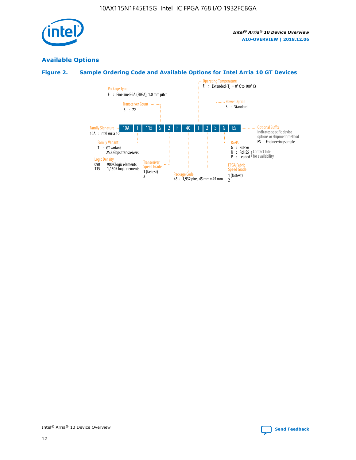

# **Available Options**

# **Figure 2. Sample Ordering Code and Available Options for Intel Arria 10 GT Devices**

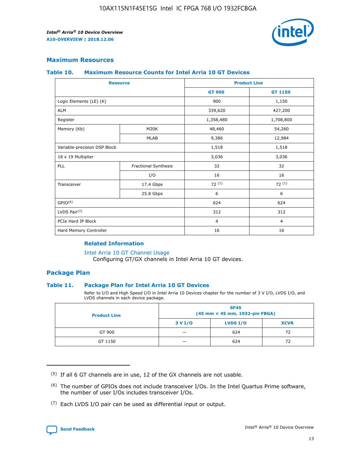

## **Maximum Resources**

#### **Table 10. Maximum Resource Counts for Intel Arria 10 GT Devices**

| <b>Resource</b>              |                      | <b>Product Line</b> |                |  |
|------------------------------|----------------------|---------------------|----------------|--|
|                              |                      | <b>GT 900</b>       | <b>GT 1150</b> |  |
| Logic Elements (LE) (K)      |                      | 900                 | 1,150          |  |
| <b>ALM</b>                   |                      | 339,620             | 427,200        |  |
| Register                     |                      | 1,358,480           | 1,708,800      |  |
| Memory (Kb)                  | M20K                 | 48,460              | 54,260         |  |
|                              | <b>MLAB</b>          | 9,386               | 12,984         |  |
| Variable-precision DSP Block |                      | 1,518               | 1,518          |  |
| 18 x 19 Multiplier           |                      | 3,036               | 3,036          |  |
| PLL                          | Fractional Synthesis | 32                  | 32             |  |
|                              | I/O                  | 16                  | 16             |  |
| Transceiver                  | 17.4 Gbps            | 72(5)               | 72(5)          |  |
|                              | 25.8 Gbps            | 6                   | 6              |  |
| GPIO <sup>(6)</sup>          |                      | 624                 | 624            |  |
| LVDS Pair $(7)$              |                      | 312                 | 312            |  |
| PCIe Hard IP Block           |                      | $\overline{4}$      | $\overline{4}$ |  |
| Hard Memory Controller       |                      | 16                  | 16             |  |

### **Related Information**

#### [Intel Arria 10 GT Channel Usage](https://www.intel.com/content/www/us/en/programmable/documentation/nik1398707230472.html#nik1398707008178)

Configuring GT/GX channels in Intel Arria 10 GT devices.

## **Package Plan**

#### **Table 11. Package Plan for Intel Arria 10 GT Devices**

Refer to I/O and High Speed I/O in Intel Arria 10 Devices chapter for the number of 3 V I/O, LVDS I/O, and LVDS channels in each device package.

| <b>Product Line</b> | <b>SF45</b><br>(45 mm × 45 mm, 1932-pin FBGA) |                 |             |  |  |  |
|---------------------|-----------------------------------------------|-----------------|-------------|--|--|--|
|                     | 3 V I/O                                       | <b>LVDS I/O</b> | <b>XCVR</b> |  |  |  |
| GT 900              |                                               | 624             | 72          |  |  |  |
| GT 1150             |                                               | 624             |             |  |  |  |

<sup>(7)</sup> Each LVDS I/O pair can be used as differential input or output.



 $(5)$  If all 6 GT channels are in use, 12 of the GX channels are not usable.

<sup>(6)</sup> The number of GPIOs does not include transceiver I/Os. In the Intel Quartus Prime software, the number of user I/Os includes transceiver I/Os.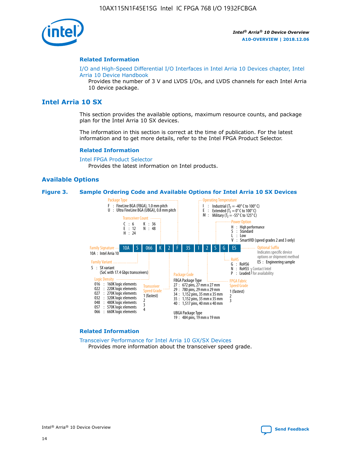

#### **Related Information**

[I/O and High-Speed Differential I/O Interfaces in Intel Arria 10 Devices chapter, Intel](https://www.intel.com/content/www/us/en/programmable/documentation/sam1403482614086.html#sam1403482030321) [Arria 10 Device Handbook](https://www.intel.com/content/www/us/en/programmable/documentation/sam1403482614086.html#sam1403482030321)

Provides the number of 3 V and LVDS I/Os, and LVDS channels for each Intel Arria 10 device package.

# **Intel Arria 10 SX**

This section provides the available options, maximum resource counts, and package plan for the Intel Arria 10 SX devices.

The information in this section is correct at the time of publication. For the latest information and to get more details, refer to the Intel FPGA Product Selector.

#### **Related Information**

[Intel FPGA Product Selector](http://www.altera.com/products/selector/psg-selector.html) Provides the latest information on Intel products.

#### **Available Options**

#### **Figure 3. Sample Ordering Code and Available Options for Intel Arria 10 SX Devices**



#### **Related Information**

[Transceiver Performance for Intel Arria 10 GX/SX Devices](https://www.intel.com/content/www/us/en/programmable/documentation/mcn1413182292568.html#mcn1413213965502) Provides more information about the transceiver speed grade.

Intel® Arria® 10 Device Overview **[Send Feedback](mailto:FPGAtechdocfeedback@intel.com?subject=Feedback%20on%20Intel%20Arria%2010%20Device%20Overview%20(A10-OVERVIEW%202018.12.06)&body=We%20appreciate%20your%20feedback.%20In%20your%20comments,%20also%20specify%20the%20page%20number%20or%20paragraph.%20Thank%20you.)**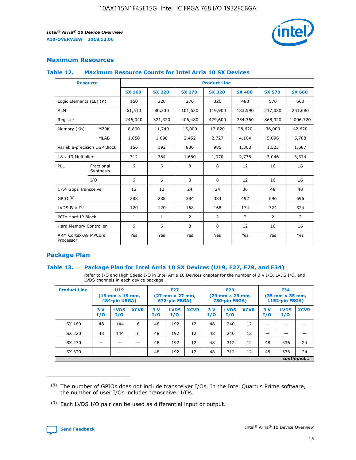

# **Maximum Resources**

#### **Table 12. Maximum Resource Counts for Intel Arria 10 SX Devices**

| <b>Resource</b>                   |                         | <b>Product Line</b> |               |                |                |                |                |                |  |  |  |
|-----------------------------------|-------------------------|---------------------|---------------|----------------|----------------|----------------|----------------|----------------|--|--|--|
|                                   |                         | <b>SX 160</b>       | <b>SX 220</b> | <b>SX 270</b>  | <b>SX 320</b>  | <b>SX 480</b>  | <b>SX 570</b>  | <b>SX 660</b>  |  |  |  |
| Logic Elements (LE) (K)           |                         | 160                 | 220           | 270            | 320            | 480            | 570            | 660            |  |  |  |
| <b>ALM</b>                        |                         | 61,510              | 80,330        | 101,620        | 119,900        | 183,590        | 217,080        | 251,680        |  |  |  |
| Register                          |                         | 246,040             | 321,320       | 406,480        | 479,600        | 734,360        | 868,320        | 1,006,720      |  |  |  |
| Memory (Kb)                       | <b>M20K</b>             | 8,800               | 11,740        | 15,000         | 17,820         | 28,620         | 36,000         | 42,620         |  |  |  |
|                                   | <b>MLAB</b>             | 1,050               | 1,690         | 2,452          | 2,727          | 4,164          | 5,096          | 5,788          |  |  |  |
| Variable-precision DSP Block      |                         | 156                 | 192           | 830            | 985            | 1,368          | 1,523          | 1,687          |  |  |  |
| 18 x 19 Multiplier                |                         | 312                 | 384           | 1,660          | 1,970          | 2,736          | 3,046          | 3,374          |  |  |  |
| PLL                               | Fractional<br>Synthesis | 6                   | 6             | 8              | 8              | 12             | 16             | 16             |  |  |  |
|                                   | I/O                     | 6                   | 6             | 8              | 8              | 12             | 16             | 16             |  |  |  |
| 17.4 Gbps Transceiver             |                         | 12                  | 12            | 24             | 24             | 36             | 48             | 48             |  |  |  |
| GPIO <sup>(8)</sup>               |                         | 288                 | 288           | 384            | 384            | 492            | 696            | 696            |  |  |  |
| LVDS Pair $(9)$                   |                         | 120                 | 120           | 168            | 168            | 174            | 324            | 324            |  |  |  |
| PCIe Hard IP Block                |                         | $\mathbf{1}$        | $\mathbf{1}$  | $\overline{2}$ | $\overline{2}$ | $\overline{2}$ | $\overline{2}$ | $\overline{2}$ |  |  |  |
| Hard Memory Controller            |                         | 6                   | 6             | 8              | 8              | 12             | 16             | 16             |  |  |  |
| ARM Cortex-A9 MPCore<br>Processor |                         | Yes                 | Yes           | Yes            | Yes            | Yes            | Yes            | <b>Yes</b>     |  |  |  |

# **Package Plan**

#### **Table 13. Package Plan for Intel Arria 10 SX Devices (U19, F27, F29, and F34)**

Refer to I/O and High Speed I/O in Intel Arria 10 Devices chapter for the number of 3 V I/O, LVDS I/O, and LVDS channels in each device package.

| <b>Product Line</b> | U19<br>$(19 \text{ mm} \times 19 \text{ mm})$<br>484-pin UBGA) |                    | <b>F27</b><br>$(27 \text{ mm} \times 27 \text{ mm})$<br>672-pin FBGA) |           | <b>F29</b><br>$(29 \text{ mm} \times 29 \text{ mm})$<br>780-pin FBGA) |             |            | <b>F34</b><br>$(35 \text{ mm} \times 35 \text{ mm})$<br><b>1152-pin FBGA)</b> |             |           |                    |             |
|---------------------|----------------------------------------------------------------|--------------------|-----------------------------------------------------------------------|-----------|-----------------------------------------------------------------------|-------------|------------|-------------------------------------------------------------------------------|-------------|-----------|--------------------|-------------|
|                     | 3V<br>I/O                                                      | <b>LVDS</b><br>I/O | <b>XCVR</b>                                                           | 3V<br>I/O | <b>LVDS</b><br>I/O                                                    | <b>XCVR</b> | 3 V<br>I/O | <b>LVDS</b><br>I/O                                                            | <b>XCVR</b> | 3V<br>I/O | <b>LVDS</b><br>I/O | <b>XCVR</b> |
| SX 160              | 48                                                             | 144                | 6                                                                     | 48        | 192                                                                   | 12          | 48         | 240                                                                           | 12          | –         |                    |             |
| SX 220              | 48                                                             | 144                | 6                                                                     | 48        | 192                                                                   | 12          | 48         | 240                                                                           | 12          |           |                    |             |
| SX 270              |                                                                |                    |                                                                       | 48        | 192                                                                   | 12          | 48         | 312                                                                           | 12          | 48        | 336                | 24          |
| SX 320              |                                                                |                    |                                                                       | 48        | 192                                                                   | 12          | 48         | 312                                                                           | 12          | 48        | 336                | 24          |
|                     | continued                                                      |                    |                                                                       |           |                                                                       |             |            |                                                                               |             |           |                    |             |

 $(8)$  The number of GPIOs does not include transceiver I/Os. In the Intel Quartus Prime software, the number of user I/Os includes transceiver I/Os.

 $(9)$  Each LVDS I/O pair can be used as differential input or output.

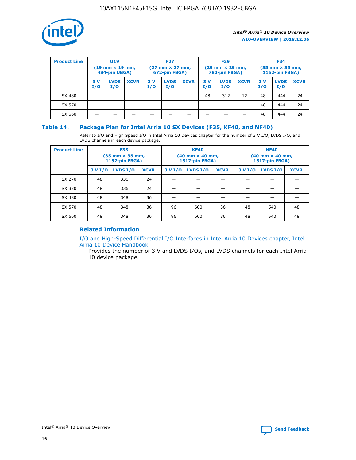

| <b>Product Line</b> | U <sub>19</sub><br>$(19 \text{ mm} \times 19 \text{ mm})$<br>484-pin UBGA) |                    | <b>F27</b><br>$(27 \text{ mm} \times 27 \text{ mm})$<br>672-pin FBGA) |           | <b>F29</b><br>$(29 \text{ mm} \times 29 \text{ mm})$<br>780-pin FBGA) |             |           | <b>F34</b><br>$(35$ mm $\times$ 35 mm,<br><b>1152-pin FBGA)</b> |             |           |                    |             |
|---------------------|----------------------------------------------------------------------------|--------------------|-----------------------------------------------------------------------|-----------|-----------------------------------------------------------------------|-------------|-----------|-----------------------------------------------------------------|-------------|-----------|--------------------|-------------|
|                     | 3V<br>I/O                                                                  | <b>LVDS</b><br>I/O | <b>XCVR</b>                                                           | 3V<br>I/O | <b>LVDS</b><br>I/O                                                    | <b>XCVR</b> | 3V<br>I/O | <b>LVDS</b><br>I/O                                              | <b>XCVR</b> | 3V<br>I/O | <b>LVDS</b><br>I/O | <b>XCVR</b> |
| SX 480              |                                                                            |                    |                                                                       |           |                                                                       |             | 48        | 312                                                             | 12          | 48        | 444                | 24          |
| SX 570              |                                                                            |                    |                                                                       |           |                                                                       |             |           |                                                                 |             | 48        | 444                | 24          |
| SX 660              |                                                                            |                    |                                                                       |           |                                                                       |             |           |                                                                 |             | 48        | 444                | 24          |

## **Table 14. Package Plan for Intel Arria 10 SX Devices (F35, KF40, and NF40)**

Refer to I/O and High Speed I/O in Intel Arria 10 Devices chapter for the number of 3 V I/O, LVDS I/O, and LVDS channels in each device package.

| <b>Product Line</b> | <b>F35</b><br>$(35 \text{ mm} \times 35 \text{ mm})$<br><b>1152-pin FBGA)</b> |          |             |                                           | <b>KF40</b><br>(40 mm × 40 mm,<br>1517-pin FBGA) |    | <b>NF40</b><br>$(40 \text{ mm} \times 40 \text{ mm})$<br>1517-pin FBGA) |          |             |  |
|---------------------|-------------------------------------------------------------------------------|----------|-------------|-------------------------------------------|--------------------------------------------------|----|-------------------------------------------------------------------------|----------|-------------|--|
|                     | 3 V I/O                                                                       | LVDS I/O | <b>XCVR</b> | <b>LVDS I/O</b><br><b>XCVR</b><br>3 V I/O |                                                  |    | 3 V I/O                                                                 | LVDS I/O | <b>XCVR</b> |  |
| SX 270              | 48                                                                            | 336      | 24          |                                           |                                                  |    |                                                                         |          |             |  |
| SX 320              | 48                                                                            | 336      | 24          |                                           |                                                  |    |                                                                         |          |             |  |
| SX 480              | 48                                                                            | 348      | 36          |                                           |                                                  |    |                                                                         |          |             |  |
| SX 570              | 48                                                                            | 348      | 36          | 96                                        | 600                                              | 36 | 48                                                                      | 540      | 48          |  |
| SX 660              | 48                                                                            | 348      | 36          | 96                                        | 600                                              | 36 | 48                                                                      | 540      | 48          |  |

# **Related Information**

[I/O and High-Speed Differential I/O Interfaces in Intel Arria 10 Devices chapter, Intel](https://www.intel.com/content/www/us/en/programmable/documentation/sam1403482614086.html#sam1403482030321) [Arria 10 Device Handbook](https://www.intel.com/content/www/us/en/programmable/documentation/sam1403482614086.html#sam1403482030321)

Provides the number of 3 V and LVDS I/Os, and LVDS channels for each Intel Arria 10 device package.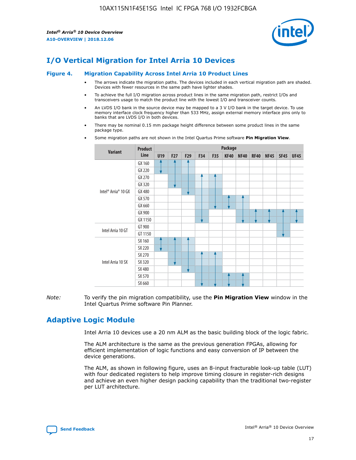

# **I/O Vertical Migration for Intel Arria 10 Devices**

#### **Figure 4. Migration Capability Across Intel Arria 10 Product Lines**

- The arrows indicate the migration paths. The devices included in each vertical migration path are shaded. Devices with fewer resources in the same path have lighter shades.
- To achieve the full I/O migration across product lines in the same migration path, restrict I/Os and transceivers usage to match the product line with the lowest I/O and transceiver counts.
- An LVDS I/O bank in the source device may be mapped to a 3 V I/O bank in the target device. To use memory interface clock frequency higher than 533 MHz, assign external memory interface pins only to banks that are LVDS I/O in both devices.
- There may be nominal 0.15 mm package height difference between some product lines in the same package type.
	- **Variant Product Line Package U19 F27 F29 F34 F35 KF40 NF40 RF40 NF45 SF45 UF45** Intel® Arria® 10 GX GX 160 GX 220 GX 270 GX 320 GX 480 GX 570 GX 660 GX 900 GX 1150 Intel Arria 10 GT GT 900 GT 1150 Intel Arria 10 SX SX 160 SX 220 SX 270 SX 320 SX 480 SX 570 SX 660
- Some migration paths are not shown in the Intel Quartus Prime software **Pin Migration View**.

*Note:* To verify the pin migration compatibility, use the **Pin Migration View** window in the Intel Quartus Prime software Pin Planner.

# **Adaptive Logic Module**

Intel Arria 10 devices use a 20 nm ALM as the basic building block of the logic fabric.

The ALM architecture is the same as the previous generation FPGAs, allowing for efficient implementation of logic functions and easy conversion of IP between the device generations.

The ALM, as shown in following figure, uses an 8-input fracturable look-up table (LUT) with four dedicated registers to help improve timing closure in register-rich designs and achieve an even higher design packing capability than the traditional two-register per LUT architecture.

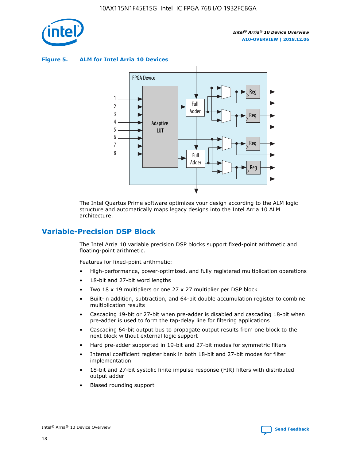

**Figure 5. ALM for Intel Arria 10 Devices**



The Intel Quartus Prime software optimizes your design according to the ALM logic structure and automatically maps legacy designs into the Intel Arria 10 ALM architecture.

# **Variable-Precision DSP Block**

The Intel Arria 10 variable precision DSP blocks support fixed-point arithmetic and floating-point arithmetic.

Features for fixed-point arithmetic:

- High-performance, power-optimized, and fully registered multiplication operations
- 18-bit and 27-bit word lengths
- Two 18 x 19 multipliers or one 27 x 27 multiplier per DSP block
- Built-in addition, subtraction, and 64-bit double accumulation register to combine multiplication results
- Cascading 19-bit or 27-bit when pre-adder is disabled and cascading 18-bit when pre-adder is used to form the tap-delay line for filtering applications
- Cascading 64-bit output bus to propagate output results from one block to the next block without external logic support
- Hard pre-adder supported in 19-bit and 27-bit modes for symmetric filters
- Internal coefficient register bank in both 18-bit and 27-bit modes for filter implementation
- 18-bit and 27-bit systolic finite impulse response (FIR) filters with distributed output adder
- Biased rounding support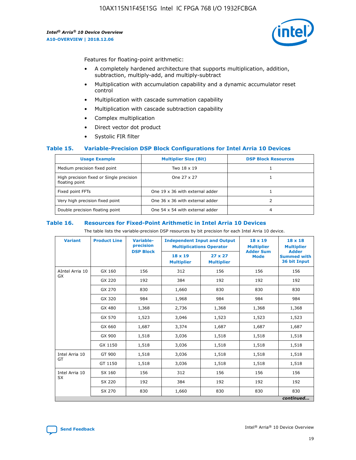

Features for floating-point arithmetic:

- A completely hardened architecture that supports multiplication, addition, subtraction, multiply-add, and multiply-subtract
- Multiplication with accumulation capability and a dynamic accumulator reset control
- Multiplication with cascade summation capability
- Multiplication with cascade subtraction capability
- Complex multiplication
- Direct vector dot product
- Systolic FIR filter

#### **Table 15. Variable-Precision DSP Block Configurations for Intel Arria 10 Devices**

| <b>Usage Example</b>                                       | <b>Multiplier Size (Bit)</b>    | <b>DSP Block Resources</b> |
|------------------------------------------------------------|---------------------------------|----------------------------|
| Medium precision fixed point                               | Two 18 x 19                     |                            |
| High precision fixed or Single precision<br>floating point | One 27 x 27                     |                            |
| Fixed point FFTs                                           | One 19 x 36 with external adder |                            |
| Very high precision fixed point                            | One 36 x 36 with external adder |                            |
| Double precision floating point                            | One 54 x 54 with external adder | 4                          |

#### **Table 16. Resources for Fixed-Point Arithmetic in Intel Arria 10 Devices**

The table lists the variable-precision DSP resources by bit precision for each Intel Arria 10 device.

| <b>Variant</b>  | <b>Product Line</b> | Variable-<br>precision<br><b>DSP Block</b> | <b>Independent Input and Output</b><br><b>Multiplications Operator</b> |                                     | 18 x 19<br><b>Multiplier</b><br><b>Adder Sum</b> | $18 \times 18$<br><b>Multiplier</b><br><b>Adder</b> |
|-----------------|---------------------|--------------------------------------------|------------------------------------------------------------------------|-------------------------------------|--------------------------------------------------|-----------------------------------------------------|
|                 |                     |                                            | 18 x 19<br><b>Multiplier</b>                                           | $27 \times 27$<br><b>Multiplier</b> | <b>Mode</b>                                      | <b>Summed with</b><br>36 bit Input                  |
| AIntel Arria 10 | GX 160              | 156                                        | 312                                                                    | 156                                 | 156                                              | 156                                                 |
| GX              | GX 220              | 192                                        | 384                                                                    | 192                                 | 192                                              | 192                                                 |
|                 | GX 270              | 830                                        | 1,660                                                                  | 830                                 | 830                                              | 830                                                 |
|                 | GX 320              | 984                                        | 1,968                                                                  | 984                                 | 984                                              | 984                                                 |
|                 | GX 480              | 1,368                                      | 2,736                                                                  | 1,368                               | 1,368                                            | 1,368                                               |
|                 | GX 570              | 1,523                                      | 3,046                                                                  | 1,523                               | 1,523                                            | 1,523                                               |
|                 | GX 660              | 1,687                                      | 3,374                                                                  | 1,687                               | 1,687                                            | 1,687                                               |
|                 | GX 900              | 1,518                                      | 3,036                                                                  | 1,518                               | 1,518                                            | 1,518                                               |
|                 | GX 1150             | 1,518                                      | 3,036                                                                  | 1,518                               | 1,518                                            | 1,518                                               |
| Intel Arria 10  | GT 900              | 1,518                                      | 3,036                                                                  | 1,518                               | 1,518                                            | 1,518                                               |
| GT              | GT 1150             | 1,518                                      | 3,036                                                                  | 1,518                               | 1,518                                            | 1,518                                               |
| Intel Arria 10  | SX 160              | 156                                        | 312                                                                    | 156                                 | 156                                              | 156                                                 |
| <b>SX</b>       | SX 220              | 192                                        | 384                                                                    | 192                                 | 192                                              | 192                                                 |
|                 | SX 270              | 830                                        | 1,660                                                                  | 830                                 | 830                                              | 830                                                 |
|                 |                     |                                            |                                                                        |                                     |                                                  | continued                                           |

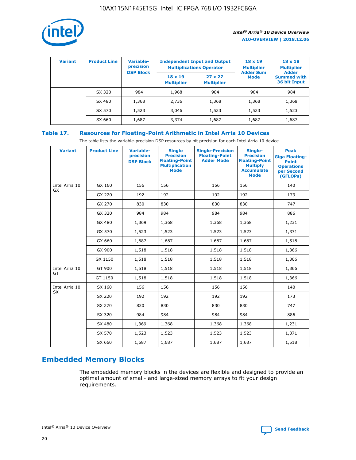

| <b>Variant</b> | <b>Product Line</b> | Variable-<br>precision | <b>Independent Input and Output</b><br><b>Multiplications Operator</b> |                                     | $18 \times 19$<br><b>Multiplier</b> | $18 \times 18$<br><b>Multiplier</b><br><b>Adder</b> |  |
|----------------|---------------------|------------------------|------------------------------------------------------------------------|-------------------------------------|-------------------------------------|-----------------------------------------------------|--|
|                |                     | <b>DSP Block</b>       | $18 \times 19$<br><b>Multiplier</b>                                    | $27 \times 27$<br><b>Multiplier</b> | <b>Adder Sum</b><br><b>Mode</b>     | <b>Summed with</b><br>36 bit Input                  |  |
|                | SX 320              | 984                    | 1,968                                                                  | 984                                 | 984                                 | 984                                                 |  |
|                | SX 480              | 1,368                  | 2,736                                                                  | 1,368                               | 1,368                               | 1,368                                               |  |
|                | SX 570              | 1,523                  | 3,046                                                                  | 1,523                               | 1,523                               | 1,523                                               |  |
|                | SX 660              | 1,687                  | 3,374                                                                  | 1,687                               | 1,687                               | 1,687                                               |  |

# **Table 17. Resources for Floating-Point Arithmetic in Intel Arria 10 Devices**

The table lists the variable-precision DSP resources by bit precision for each Intel Arria 10 device.

| <b>Variant</b> | <b>Product Line</b> | <b>Variable-</b><br>precision<br><b>DSP Block</b> | <b>Single</b><br><b>Precision</b><br><b>Floating-Point</b><br><b>Multiplication</b><br><b>Mode</b> | <b>Single-Precision</b><br><b>Floating-Point</b><br><b>Adder Mode</b> | Single-<br><b>Precision</b><br><b>Floating-Point</b><br><b>Multiply</b><br><b>Accumulate</b><br><b>Mode</b> | <b>Peak</b><br><b>Giga Floating-</b><br><b>Point</b><br><b>Operations</b><br>per Second<br>(GFLOPs) |
|----------------|---------------------|---------------------------------------------------|----------------------------------------------------------------------------------------------------|-----------------------------------------------------------------------|-------------------------------------------------------------------------------------------------------------|-----------------------------------------------------------------------------------------------------|
| Intel Arria 10 | GX 160              | 156                                               | 156                                                                                                | 156                                                                   | 156                                                                                                         | 140                                                                                                 |
| GX             | GX 220              | 192                                               | 192                                                                                                | 192                                                                   | 192                                                                                                         | 173                                                                                                 |
|                | GX 270              | 830                                               | 830                                                                                                | 830                                                                   | 830                                                                                                         | 747                                                                                                 |
|                | GX 320              | 984                                               | 984                                                                                                | 984                                                                   | 984                                                                                                         | 886                                                                                                 |
|                | GX 480              | 1,369                                             | 1,368                                                                                              | 1,368                                                                 | 1,368                                                                                                       | 1,231                                                                                               |
|                | GX 570              | 1,523                                             | 1,523                                                                                              | 1,523                                                                 | 1,523                                                                                                       | 1,371                                                                                               |
|                | GX 660              | 1,687                                             | 1,687                                                                                              | 1,687                                                                 | 1,687                                                                                                       | 1,518                                                                                               |
|                | GX 900              | 1,518                                             | 1,518                                                                                              | 1,518                                                                 | 1,518                                                                                                       | 1,366                                                                                               |
|                | GX 1150             | 1,518                                             | 1,518                                                                                              | 1,518                                                                 | 1,518                                                                                                       | 1,366                                                                                               |
| Intel Arria 10 | GT 900              | 1,518                                             | 1,518                                                                                              | 1,518                                                                 | 1,518                                                                                                       | 1,366                                                                                               |
| GT             | GT 1150             | 1,518                                             | 1,518                                                                                              | 1,518                                                                 | 1,518                                                                                                       | 1,366                                                                                               |
| Intel Arria 10 | SX 160              | 156                                               | 156                                                                                                | 156                                                                   | 156                                                                                                         | 140                                                                                                 |
| <b>SX</b>      | SX 220              | 192                                               | 192                                                                                                | 192                                                                   | 192                                                                                                         | 173                                                                                                 |
|                | SX 270              | 830                                               | 830                                                                                                | 830                                                                   | 830                                                                                                         | 747                                                                                                 |
|                | SX 320              | 984                                               | 984                                                                                                | 984                                                                   | 984                                                                                                         | 886                                                                                                 |
|                | SX 480              | 1,369                                             | 1,368                                                                                              | 1,368                                                                 | 1,368                                                                                                       | 1,231                                                                                               |
|                | SX 570              | 1,523                                             | 1,523                                                                                              | 1,523                                                                 | 1,523                                                                                                       | 1,371                                                                                               |
|                | SX 660              | 1,687                                             | 1,687                                                                                              | 1,687                                                                 | 1,687                                                                                                       | 1,518                                                                                               |

# **Embedded Memory Blocks**

The embedded memory blocks in the devices are flexible and designed to provide an optimal amount of small- and large-sized memory arrays to fit your design requirements.

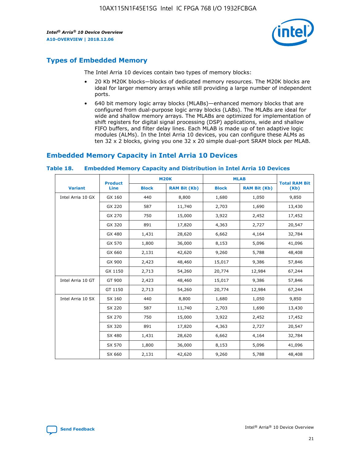

# **Types of Embedded Memory**

The Intel Arria 10 devices contain two types of memory blocks:

- 20 Kb M20K blocks—blocks of dedicated memory resources. The M20K blocks are ideal for larger memory arrays while still providing a large number of independent ports.
- 640 bit memory logic array blocks (MLABs)—enhanced memory blocks that are configured from dual-purpose logic array blocks (LABs). The MLABs are ideal for wide and shallow memory arrays. The MLABs are optimized for implementation of shift registers for digital signal processing (DSP) applications, wide and shallow FIFO buffers, and filter delay lines. Each MLAB is made up of ten adaptive logic modules (ALMs). In the Intel Arria 10 devices, you can configure these ALMs as ten 32 x 2 blocks, giving you one 32 x 20 simple dual-port SRAM block per MLAB.

# **Embedded Memory Capacity in Intel Arria 10 Devices**

|                   | <b>Product</b> |              | <b>M20K</b>         |              | <b>MLAB</b>         | <b>Total RAM Bit</b> |
|-------------------|----------------|--------------|---------------------|--------------|---------------------|----------------------|
| <b>Variant</b>    | Line           | <b>Block</b> | <b>RAM Bit (Kb)</b> | <b>Block</b> | <b>RAM Bit (Kb)</b> | (Kb)                 |
| Intel Arria 10 GX | GX 160         | 440          | 8,800               | 1,680        | 1,050               | 9,850                |
|                   | GX 220         | 587          | 11,740              | 2,703        | 1,690               | 13,430               |
|                   | GX 270         | 750          | 15,000              | 3,922        | 2,452               | 17,452               |
|                   | GX 320         | 891          | 17,820              | 4,363        | 2,727               | 20,547               |
|                   | GX 480         | 1,431        | 28,620              | 6,662        | 4,164               | 32,784               |
|                   | GX 570         | 1,800        | 36,000              | 8,153        | 5,096               | 41,096               |
|                   | GX 660         | 2,131        | 42,620              | 9,260        | 5,788               | 48,408               |
|                   | GX 900         | 2,423        | 48,460              | 15,017       | 9,386               | 57,846               |
|                   | GX 1150        | 2,713        | 54,260              | 20,774       | 12,984              | 67,244               |
| Intel Arria 10 GT | GT 900         | 2,423        | 48,460              | 15,017       | 9,386               | 57,846               |
|                   | GT 1150        | 2,713        | 54,260              | 20,774       | 12,984              | 67,244               |
| Intel Arria 10 SX | SX 160         | 440          | 8,800               | 1,680        | 1,050               | 9,850                |
|                   | SX 220         | 587          | 11,740              | 2,703        | 1,690               | 13,430               |
|                   | SX 270         | 750          | 15,000              | 3,922        | 2,452               | 17,452               |
|                   | SX 320         | 891          | 17,820              | 4,363        | 2,727               | 20,547               |
|                   | SX 480         | 1,431        | 28,620              | 6,662        | 4,164               | 32,784               |
|                   | SX 570         | 1,800        | 36,000              | 8,153        | 5,096               | 41,096               |
|                   | SX 660         | 2,131        | 42,620              | 9,260        | 5,788               | 48,408               |

#### **Table 18. Embedded Memory Capacity and Distribution in Intel Arria 10 Devices**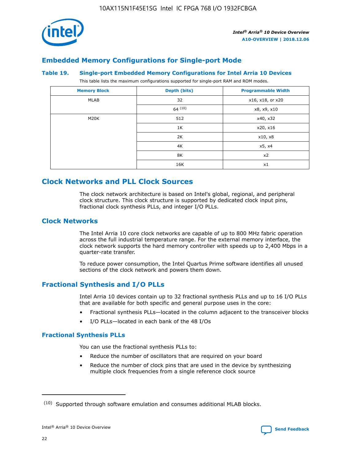

# **Embedded Memory Configurations for Single-port Mode**

#### **Table 19. Single-port Embedded Memory Configurations for Intel Arria 10 Devices**

This table lists the maximum configurations supported for single-port RAM and ROM modes.

| <b>Memory Block</b> | Depth (bits) | <b>Programmable Width</b> |
|---------------------|--------------|---------------------------|
| MLAB                | 32           | x16, x18, or x20          |
|                     | 64(10)       | x8, x9, x10               |
| M20K                | 512          | x40, x32                  |
|                     | 1K           | x20, x16                  |
|                     | 2K           | x10, x8                   |
|                     | 4K           | x5, x4                    |
|                     | 8K           | x2                        |
|                     | 16K          | x1                        |

# **Clock Networks and PLL Clock Sources**

The clock network architecture is based on Intel's global, regional, and peripheral clock structure. This clock structure is supported by dedicated clock input pins, fractional clock synthesis PLLs, and integer I/O PLLs.

# **Clock Networks**

The Intel Arria 10 core clock networks are capable of up to 800 MHz fabric operation across the full industrial temperature range. For the external memory interface, the clock network supports the hard memory controller with speeds up to 2,400 Mbps in a quarter-rate transfer.

To reduce power consumption, the Intel Quartus Prime software identifies all unused sections of the clock network and powers them down.

# **Fractional Synthesis and I/O PLLs**

Intel Arria 10 devices contain up to 32 fractional synthesis PLLs and up to 16 I/O PLLs that are available for both specific and general purpose uses in the core:

- Fractional synthesis PLLs—located in the column adjacent to the transceiver blocks
- I/O PLLs—located in each bank of the 48 I/Os

# **Fractional Synthesis PLLs**

You can use the fractional synthesis PLLs to:

- Reduce the number of oscillators that are required on your board
- Reduce the number of clock pins that are used in the device by synthesizing multiple clock frequencies from a single reference clock source

<sup>(10)</sup> Supported through software emulation and consumes additional MLAB blocks.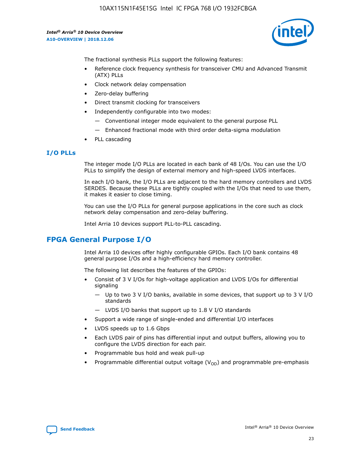

The fractional synthesis PLLs support the following features:

- Reference clock frequency synthesis for transceiver CMU and Advanced Transmit (ATX) PLLs
- Clock network delay compensation
- Zero-delay buffering
- Direct transmit clocking for transceivers
- Independently configurable into two modes:
	- Conventional integer mode equivalent to the general purpose PLL
	- Enhanced fractional mode with third order delta-sigma modulation
- PLL cascading

# **I/O PLLs**

The integer mode I/O PLLs are located in each bank of 48 I/Os. You can use the I/O PLLs to simplify the design of external memory and high-speed LVDS interfaces.

In each I/O bank, the I/O PLLs are adjacent to the hard memory controllers and LVDS SERDES. Because these PLLs are tightly coupled with the I/Os that need to use them, it makes it easier to close timing.

You can use the I/O PLLs for general purpose applications in the core such as clock network delay compensation and zero-delay buffering.

Intel Arria 10 devices support PLL-to-PLL cascading.

# **FPGA General Purpose I/O**

Intel Arria 10 devices offer highly configurable GPIOs. Each I/O bank contains 48 general purpose I/Os and a high-efficiency hard memory controller.

The following list describes the features of the GPIOs:

- Consist of 3 V I/Os for high-voltage application and LVDS I/Os for differential signaling
	- Up to two 3 V I/O banks, available in some devices, that support up to 3 V I/O standards
	- LVDS I/O banks that support up to 1.8 V I/O standards
- Support a wide range of single-ended and differential I/O interfaces
- LVDS speeds up to 1.6 Gbps
- Each LVDS pair of pins has differential input and output buffers, allowing you to configure the LVDS direction for each pair.
- Programmable bus hold and weak pull-up
- Programmable differential output voltage  $(V_{OD})$  and programmable pre-emphasis

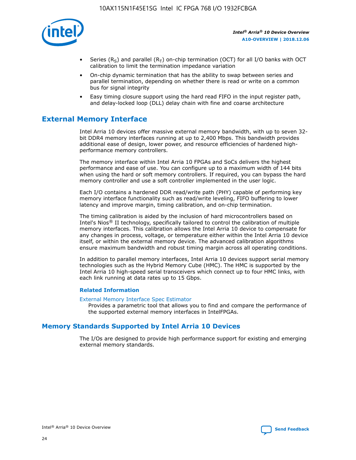

- Series (R<sub>S</sub>) and parallel (R<sub>T</sub>) on-chip termination (OCT) for all I/O banks with OCT calibration to limit the termination impedance variation
- On-chip dynamic termination that has the ability to swap between series and parallel termination, depending on whether there is read or write on a common bus for signal integrity
- Easy timing closure support using the hard read FIFO in the input register path, and delay-locked loop (DLL) delay chain with fine and coarse architecture

# **External Memory Interface**

Intel Arria 10 devices offer massive external memory bandwidth, with up to seven 32 bit DDR4 memory interfaces running at up to 2,400 Mbps. This bandwidth provides additional ease of design, lower power, and resource efficiencies of hardened highperformance memory controllers.

The memory interface within Intel Arria 10 FPGAs and SoCs delivers the highest performance and ease of use. You can configure up to a maximum width of 144 bits when using the hard or soft memory controllers. If required, you can bypass the hard memory controller and use a soft controller implemented in the user logic.

Each I/O contains a hardened DDR read/write path (PHY) capable of performing key memory interface functionality such as read/write leveling, FIFO buffering to lower latency and improve margin, timing calibration, and on-chip termination.

The timing calibration is aided by the inclusion of hard microcontrollers based on Intel's Nios® II technology, specifically tailored to control the calibration of multiple memory interfaces. This calibration allows the Intel Arria 10 device to compensate for any changes in process, voltage, or temperature either within the Intel Arria 10 device itself, or within the external memory device. The advanced calibration algorithms ensure maximum bandwidth and robust timing margin across all operating conditions.

In addition to parallel memory interfaces, Intel Arria 10 devices support serial memory technologies such as the Hybrid Memory Cube (HMC). The HMC is supported by the Intel Arria 10 high-speed serial transceivers which connect up to four HMC links, with each link running at data rates up to 15 Gbps.

#### **Related Information**

#### [External Memory Interface Spec Estimator](http://www.altera.com/technology/memory/estimator/mem-emif-index.html)

Provides a parametric tool that allows you to find and compare the performance of the supported external memory interfaces in IntelFPGAs.

# **Memory Standards Supported by Intel Arria 10 Devices**

The I/Os are designed to provide high performance support for existing and emerging external memory standards.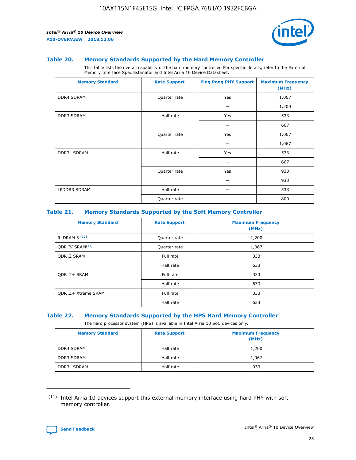

#### **Table 20. Memory Standards Supported by the Hard Memory Controller**

This table lists the overall capability of the hard memory controller. For specific details, refer to the External Memory Interface Spec Estimator and Intel Arria 10 Device Datasheet.

| <b>Memory Standard</b> | <b>Rate Support</b> | <b>Ping Pong PHY Support</b> | <b>Maximum Frequency</b><br>(MHz) |
|------------------------|---------------------|------------------------------|-----------------------------------|
| <b>DDR4 SDRAM</b>      | Quarter rate        | Yes                          | 1,067                             |
|                        |                     |                              | 1,200                             |
| DDR3 SDRAM             | Half rate           | Yes                          | 533                               |
|                        |                     |                              | 667                               |
|                        | Quarter rate        | Yes                          | 1,067                             |
|                        |                     |                              | 1,067                             |
| <b>DDR3L SDRAM</b>     | Half rate           | Yes                          | 533                               |
|                        |                     |                              | 667                               |
|                        | Quarter rate        | Yes                          | 933                               |
|                        |                     |                              | 933                               |
| LPDDR3 SDRAM           | Half rate           |                              | 533                               |
|                        | Quarter rate        |                              | 800                               |

#### **Table 21. Memory Standards Supported by the Soft Memory Controller**

| <b>Memory Standard</b>      | <b>Rate Support</b> | <b>Maximum Frequency</b><br>(MHz) |
|-----------------------------|---------------------|-----------------------------------|
| <b>RLDRAM 3 (11)</b>        | Quarter rate        | 1,200                             |
| ODR IV SRAM <sup>(11)</sup> | Quarter rate        | 1,067                             |
| <b>ODR II SRAM</b>          | Full rate           | 333                               |
|                             | Half rate           | 633                               |
| <b>ODR II+ SRAM</b>         | Full rate           | 333                               |
|                             | Half rate           | 633                               |
| <b>ODR II+ Xtreme SRAM</b>  | Full rate           | 333                               |
|                             | Half rate           | 633                               |

#### **Table 22. Memory Standards Supported by the HPS Hard Memory Controller**

The hard processor system (HPS) is available in Intel Arria 10 SoC devices only.

| <b>Memory Standard</b> | <b>Rate Support</b> | <b>Maximum Frequency</b><br>(MHz) |
|------------------------|---------------------|-----------------------------------|
| <b>DDR4 SDRAM</b>      | Half rate           | 1,200                             |
| <b>DDR3 SDRAM</b>      | Half rate           | 1,067                             |
| <b>DDR3L SDRAM</b>     | Half rate           | 933                               |

<sup>(11)</sup> Intel Arria 10 devices support this external memory interface using hard PHY with soft memory controller.

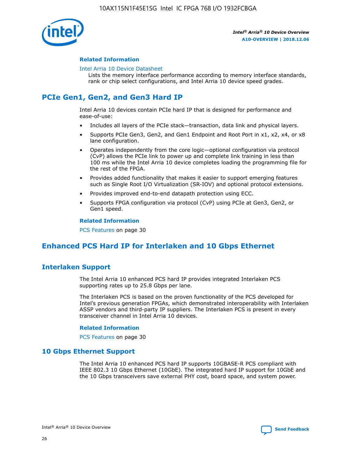

#### **Related Information**

#### [Intel Arria 10 Device Datasheet](https://www.intel.com/content/www/us/en/programmable/documentation/mcn1413182292568.html#mcn1413182153340)

Lists the memory interface performance according to memory interface standards, rank or chip select configurations, and Intel Arria 10 device speed grades.

# **PCIe Gen1, Gen2, and Gen3 Hard IP**

Intel Arria 10 devices contain PCIe hard IP that is designed for performance and ease-of-use:

- Includes all layers of the PCIe stack—transaction, data link and physical layers.
- Supports PCIe Gen3, Gen2, and Gen1 Endpoint and Root Port in x1, x2, x4, or x8 lane configuration.
- Operates independently from the core logic—optional configuration via protocol (CvP) allows the PCIe link to power up and complete link training in less than 100 ms while the Intel Arria 10 device completes loading the programming file for the rest of the FPGA.
- Provides added functionality that makes it easier to support emerging features such as Single Root I/O Virtualization (SR-IOV) and optional protocol extensions.
- Provides improved end-to-end datapath protection using ECC.
- Supports FPGA configuration via protocol (CvP) using PCIe at Gen3, Gen2, or Gen1 speed.

#### **Related Information**

PCS Features on page 30

# **Enhanced PCS Hard IP for Interlaken and 10 Gbps Ethernet**

# **Interlaken Support**

The Intel Arria 10 enhanced PCS hard IP provides integrated Interlaken PCS supporting rates up to 25.8 Gbps per lane.

The Interlaken PCS is based on the proven functionality of the PCS developed for Intel's previous generation FPGAs, which demonstrated interoperability with Interlaken ASSP vendors and third-party IP suppliers. The Interlaken PCS is present in every transceiver channel in Intel Arria 10 devices.

#### **Related Information**

PCS Features on page 30

# **10 Gbps Ethernet Support**

The Intel Arria 10 enhanced PCS hard IP supports 10GBASE-R PCS compliant with IEEE 802.3 10 Gbps Ethernet (10GbE). The integrated hard IP support for 10GbE and the 10 Gbps transceivers save external PHY cost, board space, and system power.

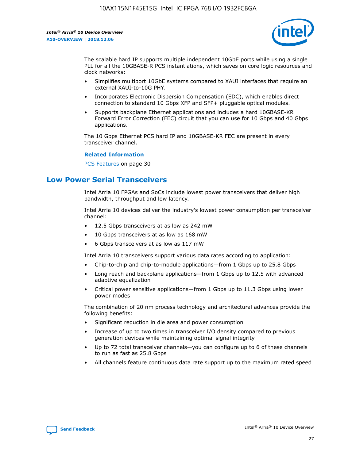

The scalable hard IP supports multiple independent 10GbE ports while using a single PLL for all the 10GBASE-R PCS instantiations, which saves on core logic resources and clock networks:

- Simplifies multiport 10GbE systems compared to XAUI interfaces that require an external XAUI-to-10G PHY.
- Incorporates Electronic Dispersion Compensation (EDC), which enables direct connection to standard 10 Gbps XFP and SFP+ pluggable optical modules.
- Supports backplane Ethernet applications and includes a hard 10GBASE-KR Forward Error Correction (FEC) circuit that you can use for 10 Gbps and 40 Gbps applications.

The 10 Gbps Ethernet PCS hard IP and 10GBASE-KR FEC are present in every transceiver channel.

#### **Related Information**

PCS Features on page 30

# **Low Power Serial Transceivers**

Intel Arria 10 FPGAs and SoCs include lowest power transceivers that deliver high bandwidth, throughput and low latency.

Intel Arria 10 devices deliver the industry's lowest power consumption per transceiver channel:

- 12.5 Gbps transceivers at as low as 242 mW
- 10 Gbps transceivers at as low as 168 mW
- 6 Gbps transceivers at as low as 117 mW

Intel Arria 10 transceivers support various data rates according to application:

- Chip-to-chip and chip-to-module applications—from 1 Gbps up to 25.8 Gbps
- Long reach and backplane applications—from 1 Gbps up to 12.5 with advanced adaptive equalization
- Critical power sensitive applications—from 1 Gbps up to 11.3 Gbps using lower power modes

The combination of 20 nm process technology and architectural advances provide the following benefits:

- Significant reduction in die area and power consumption
- Increase of up to two times in transceiver I/O density compared to previous generation devices while maintaining optimal signal integrity
- Up to 72 total transceiver channels—you can configure up to 6 of these channels to run as fast as 25.8 Gbps
- All channels feature continuous data rate support up to the maximum rated speed

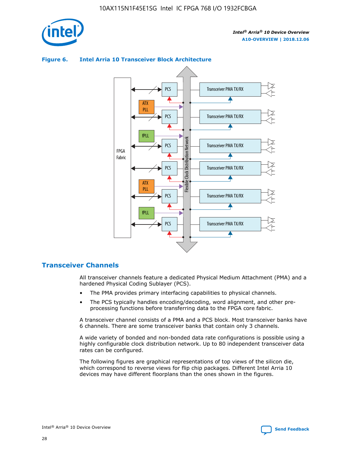

# Transceiver PMA TX/RX PCS ATX PLL Transceiver PMA TX/RX PCS fPLL Network Flexible Clock Distribution Network PCS Transceiver PMA TX/RX FPGA **Clock Distribution** Fabric PCS Transceiver PMA TX/RX ATX Flexible PLL PCS Transceiver PMA TX/RX ▲ fPLL Transceiver PMA TX/RX PCS 4

# **Figure 6. Intel Arria 10 Transceiver Block Architecture**

# **Transceiver Channels**

All transceiver channels feature a dedicated Physical Medium Attachment (PMA) and a hardened Physical Coding Sublayer (PCS).

- The PMA provides primary interfacing capabilities to physical channels.
- The PCS typically handles encoding/decoding, word alignment, and other preprocessing functions before transferring data to the FPGA core fabric.

A transceiver channel consists of a PMA and a PCS block. Most transceiver banks have 6 channels. There are some transceiver banks that contain only 3 channels.

A wide variety of bonded and non-bonded data rate configurations is possible using a highly configurable clock distribution network. Up to 80 independent transceiver data rates can be configured.

The following figures are graphical representations of top views of the silicon die, which correspond to reverse views for flip chip packages. Different Intel Arria 10 devices may have different floorplans than the ones shown in the figures.

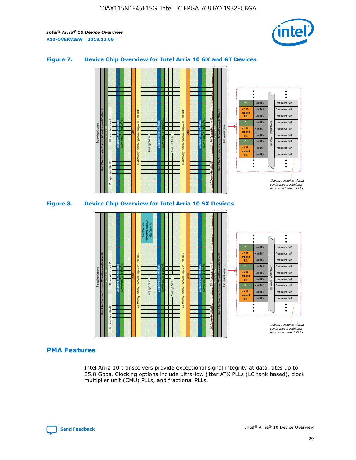

## **Figure 7. Device Chip Overview for Intel Arria 10 GX and GT Devices**





# **PMA Features**

Intel Arria 10 transceivers provide exceptional signal integrity at data rates up to 25.8 Gbps. Clocking options include ultra-low jitter ATX PLLs (LC tank based), clock multiplier unit (CMU) PLLs, and fractional PLLs.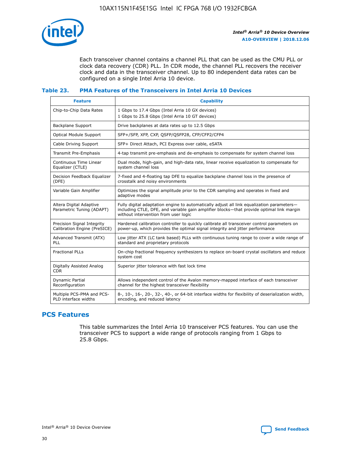

Each transceiver channel contains a channel PLL that can be used as the CMU PLL or clock data recovery (CDR) PLL. In CDR mode, the channel PLL recovers the receiver clock and data in the transceiver channel. Up to 80 independent data rates can be configured on a single Intel Arria 10 device.

## **Table 23. PMA Features of the Transceivers in Intel Arria 10 Devices**

| <b>Feature</b>                                             | <b>Capability</b>                                                                                                                                                                                                             |
|------------------------------------------------------------|-------------------------------------------------------------------------------------------------------------------------------------------------------------------------------------------------------------------------------|
| Chip-to-Chip Data Rates                                    | 1 Gbps to 17.4 Gbps (Intel Arria 10 GX devices)<br>1 Gbps to 25.8 Gbps (Intel Arria 10 GT devices)                                                                                                                            |
| Backplane Support                                          | Drive backplanes at data rates up to 12.5 Gbps                                                                                                                                                                                |
| <b>Optical Module Support</b>                              | SFP+/SFP, XFP, CXP, QSFP/QSFP28, CFP/CFP2/CFP4                                                                                                                                                                                |
| Cable Driving Support                                      | SFP+ Direct Attach, PCI Express over cable, eSATA                                                                                                                                                                             |
| Transmit Pre-Emphasis                                      | 4-tap transmit pre-emphasis and de-emphasis to compensate for system channel loss                                                                                                                                             |
| Continuous Time Linear<br>Equalizer (CTLE)                 | Dual mode, high-gain, and high-data rate, linear receive equalization to compensate for<br>system channel loss                                                                                                                |
| Decision Feedback Equalizer<br>(DFE)                       | 7-fixed and 4-floating tap DFE to equalize backplane channel loss in the presence of<br>crosstalk and noisy environments                                                                                                      |
| Variable Gain Amplifier                                    | Optimizes the signal amplitude prior to the CDR sampling and operates in fixed and<br>adaptive modes                                                                                                                          |
| Altera Digital Adaptive<br>Parametric Tuning (ADAPT)       | Fully digital adaptation engine to automatically adjust all link equalization parameters-<br>including CTLE, DFE, and variable gain amplifier blocks—that provide optimal link margin<br>without intervention from user logic |
| Precision Signal Integrity<br>Calibration Engine (PreSICE) | Hardened calibration controller to quickly calibrate all transceiver control parameters on<br>power-up, which provides the optimal signal integrity and jitter performance                                                    |
| Advanced Transmit (ATX)<br>PLL                             | Low jitter ATX (LC tank based) PLLs with continuous tuning range to cover a wide range of<br>standard and proprietary protocols                                                                                               |
| <b>Fractional PLLs</b>                                     | On-chip fractional frequency synthesizers to replace on-board crystal oscillators and reduce<br>system cost                                                                                                                   |
| Digitally Assisted Analog<br><b>CDR</b>                    | Superior jitter tolerance with fast lock time                                                                                                                                                                                 |
| Dynamic Partial<br>Reconfiguration                         | Allows independent control of the Avalon memory-mapped interface of each transceiver<br>channel for the highest transceiver flexibility                                                                                       |
| Multiple PCS-PMA and PCS-<br>PLD interface widths          | 8-, 10-, 16-, 20-, 32-, 40-, or 64-bit interface widths for flexibility of deserialization width,<br>encoding, and reduced latency                                                                                            |

# **PCS Features**

This table summarizes the Intel Arria 10 transceiver PCS features. You can use the transceiver PCS to support a wide range of protocols ranging from 1 Gbps to 25.8 Gbps.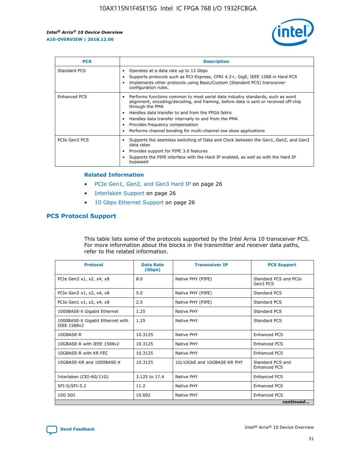

| <b>PCS</b>    | <b>Description</b>                                                                                                                                                                                                                                                                                                                                                                                             |
|---------------|----------------------------------------------------------------------------------------------------------------------------------------------------------------------------------------------------------------------------------------------------------------------------------------------------------------------------------------------------------------------------------------------------------------|
| Standard PCS  | Operates at a data rate up to 12 Gbps<br>Supports protocols such as PCI-Express, CPRI 4.2+, GigE, IEEE 1588 in Hard PCS<br>Implements other protocols using Basic/Custom (Standard PCS) transceiver<br>configuration rules.                                                                                                                                                                                    |
| Enhanced PCS  | Performs functions common to most serial data industry standards, such as word<br>alignment, encoding/decoding, and framing, before data is sent or received off-chip<br>through the PMA<br>• Handles data transfer to and from the FPGA fabric<br>Handles data transfer internally to and from the PMA<br>Provides frequency compensation<br>Performs channel bonding for multi-channel low skew applications |
| PCIe Gen3 PCS | Supports the seamless switching of Data and Clock between the Gen1, Gen2, and Gen3<br>data rates<br>Provides support for PIPE 3.0 features<br>Supports the PIPE interface with the Hard IP enabled, as well as with the Hard IP<br>bypassed                                                                                                                                                                    |

#### **Related Information**

- PCIe Gen1, Gen2, and Gen3 Hard IP on page 26
- Interlaken Support on page 26
- 10 Gbps Ethernet Support on page 26

# **PCS Protocol Support**

This table lists some of the protocols supported by the Intel Arria 10 transceiver PCS. For more information about the blocks in the transmitter and receiver data paths, refer to the related information.

| <b>Protocol</b>                                 | <b>Data Rate</b><br>(Gbps) | <b>Transceiver IP</b>       | <b>PCS Support</b>                      |
|-------------------------------------------------|----------------------------|-----------------------------|-----------------------------------------|
| PCIe Gen3 x1, x2, x4, x8                        | 8.0                        | Native PHY (PIPE)           | Standard PCS and PCIe<br>Gen3 PCS       |
| PCIe Gen2 x1, x2, x4, x8                        | 5.0                        | Native PHY (PIPE)           | <b>Standard PCS</b>                     |
| PCIe Gen1 x1, x2, x4, x8                        | 2.5                        | Native PHY (PIPE)           | Standard PCS                            |
| 1000BASE-X Gigabit Ethernet                     | 1.25                       | Native PHY                  | <b>Standard PCS</b>                     |
| 1000BASE-X Gigabit Ethernet with<br>IEEE 1588v2 | 1.25                       | Native PHY                  | Standard PCS                            |
| 10GBASE-R                                       | 10.3125                    | Native PHY                  | <b>Enhanced PCS</b>                     |
| 10GBASE-R with IEEE 1588v2                      | 10.3125                    | Native PHY                  | <b>Enhanced PCS</b>                     |
| 10GBASE-R with KR FEC                           | 10.3125                    | Native PHY                  | <b>Enhanced PCS</b>                     |
| 10GBASE-KR and 1000BASE-X                       | 10.3125                    | 1G/10GbE and 10GBASE-KR PHY | Standard PCS and<br><b>Enhanced PCS</b> |
| Interlaken (CEI-6G/11G)                         | 3.125 to 17.4              | Native PHY                  | <b>Enhanced PCS</b>                     |
| SFI-S/SFI-5.2                                   | 11.2                       | Native PHY                  | <b>Enhanced PCS</b>                     |
| $10G$ SDI                                       | 10.692                     | Native PHY                  | <b>Enhanced PCS</b>                     |
|                                                 |                            |                             | continued                               |

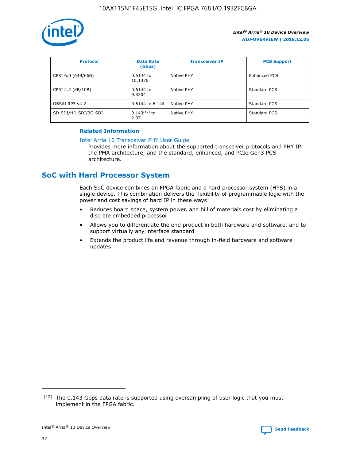

| <b>Protocol</b>      | <b>Data Rate</b><br>(Gbps) | <b>Transceiver IP</b> | <b>PCS Support</b> |
|----------------------|----------------------------|-----------------------|--------------------|
| CPRI 6.0 (64B/66B)   | 0.6144 to<br>10.1376       | Native PHY            | Enhanced PCS       |
| CPRI 4.2 (8B/10B)    | $0.6144$ to<br>9.8304      | Native PHY            | Standard PCS       |
| OBSAI RP3 v4.2       | 0.6144 to 6.144            | Native PHY            | Standard PCS       |
| SD-SDI/HD-SDI/3G-SDI | $0.143(12)$ to<br>2.97     | Native PHY            | Standard PCS       |

# **Related Information**

#### [Intel Arria 10 Transceiver PHY User Guide](https://www.intel.com/content/www/us/en/programmable/documentation/nik1398707230472.html#nik1398707091164)

Provides more information about the supported transceiver protocols and PHY IP, the PMA architecture, and the standard, enhanced, and PCIe Gen3 PCS architecture.

# **SoC with Hard Processor System**

Each SoC device combines an FPGA fabric and a hard processor system (HPS) in a single device. This combination delivers the flexibility of programmable logic with the power and cost savings of hard IP in these ways:

- Reduces board space, system power, and bill of materials cost by eliminating a discrete embedded processor
- Allows you to differentiate the end product in both hardware and software, and to support virtually any interface standard
- Extends the product life and revenue through in-field hardware and software updates

<sup>(12)</sup> The 0.143 Gbps data rate is supported using oversampling of user logic that you must implement in the FPGA fabric.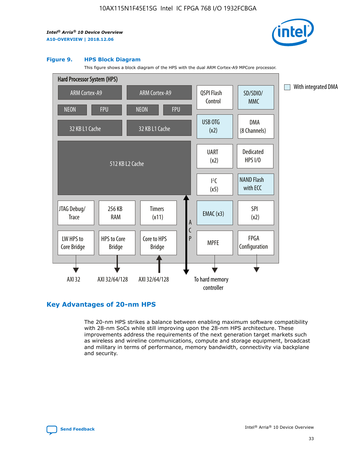

#### **Figure 9. HPS Block Diagram**

This figure shows a block diagram of the HPS with the dual ARM Cortex-A9 MPCore processor.



# **Key Advantages of 20-nm HPS**

The 20-nm HPS strikes a balance between enabling maximum software compatibility with 28-nm SoCs while still improving upon the 28-nm HPS architecture. These improvements address the requirements of the next generation target markets such as wireless and wireline communications, compute and storage equipment, broadcast and military in terms of performance, memory bandwidth, connectivity via backplane and security.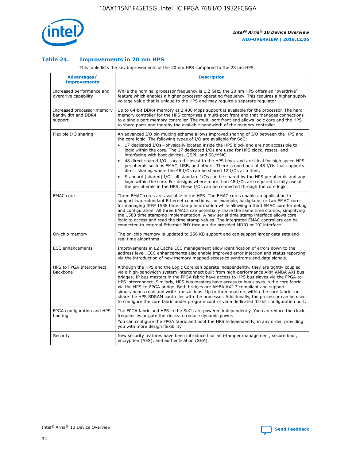

## **Table 24. Improvements in 20 nm HPS**

This table lists the key improvements of the 20 nm HPS compared to the 28 nm HPS.

| Advantages/<br><b>Improvements</b>                          | <b>Description</b>                                                                                                                                                                                                                                                                                                                                                                                                                                                                                                                                                                                                                                                                                                                                                                                                                                                                                                                                |
|-------------------------------------------------------------|---------------------------------------------------------------------------------------------------------------------------------------------------------------------------------------------------------------------------------------------------------------------------------------------------------------------------------------------------------------------------------------------------------------------------------------------------------------------------------------------------------------------------------------------------------------------------------------------------------------------------------------------------------------------------------------------------------------------------------------------------------------------------------------------------------------------------------------------------------------------------------------------------------------------------------------------------|
| Increased performance and<br>overdrive capability           | While the nominal processor frequency is 1.2 GHz, the 20 nm HPS offers an "overdrive"<br>feature which enables a higher processor operating frequency. This requires a higher supply<br>voltage value that is unique to the HPS and may require a separate regulator.                                                                                                                                                                                                                                                                                                                                                                                                                                                                                                                                                                                                                                                                             |
| Increased processor memory<br>bandwidth and DDR4<br>support | Up to 64-bit DDR4 memory at 2,400 Mbps support is available for the processor. The hard<br>memory controller for the HPS comprises a multi-port front end that manages connections<br>to a single port memory controller. The multi-port front end allows logic core and the HPS<br>to share ports and thereby the available bandwidth of the memory controller.                                                                                                                                                                                                                                                                                                                                                                                                                                                                                                                                                                                  |
| Flexible I/O sharing                                        | An advanced I/O pin muxing scheme allows improved sharing of I/O between the HPS and<br>the core logic. The following types of I/O are available for SoC:<br>$\bullet$<br>17 dedicated I/Os-physically located inside the HPS block and are not accessible to<br>logic within the core. The 17 dedicated I/Os are used for HPS clock, resets, and<br>interfacing with boot devices, QSPI, and SD/MMC.<br>48 direct shared I/O-located closest to the HPS block and are ideal for high speed HPS<br>$\bullet$<br>peripherals such as EMAC, USB, and others. There is one bank of 48 I/Os that supports<br>direct sharing where the 48 I/Os can be shared 12 I/Os at a time.<br>Standard (shared) I/O-all standard I/Os can be shared by the HPS peripherals and any<br>logic within the core. For designs where more than 48 I/Os are required to fully use all<br>the peripherals in the HPS, these I/Os can be connected through the core logic. |
| <b>EMAC</b> core                                            | Three EMAC cores are available in the HPS. The EMAC cores enable an application to<br>support two redundant Ethernet connections; for example, backplane, or two EMAC cores<br>for managing IEEE 1588 time stamp information while allowing a third EMAC core for debug<br>and configuration. All three EMACs can potentially share the same time stamps, simplifying<br>the 1588 time stamping implementation. A new serial time stamp interface allows core<br>logic to access and read the time stamp values. The integrated EMAC controllers can be<br>connected to external Ethernet PHY through the provided MDIO or I <sup>2</sup> C interface.                                                                                                                                                                                                                                                                                            |
| On-chip memory                                              | The on-chip memory is updated to 256 KB support and can support larger data sets and<br>real time algorithms.                                                                                                                                                                                                                                                                                                                                                                                                                                                                                                                                                                                                                                                                                                                                                                                                                                     |
| <b>ECC</b> enhancements                                     | Improvements in L2 Cache ECC management allow identification of errors down to the<br>address level. ECC enhancements also enable improved error injection and status reporting<br>via the introduction of new memory mapped access to syndrome and data signals.                                                                                                                                                                                                                                                                                                                                                                                                                                                                                                                                                                                                                                                                                 |
| HPS to FPGA Interconnect<br>Backbone                        | Although the HPS and the Logic Core can operate independently, they are tightly coupled<br>via a high-bandwidth system interconnect built from high-performance ARM AMBA AXI bus<br>bridges. IP bus masters in the FPGA fabric have access to HPS bus slaves via the FPGA-to-<br>HPS interconnect. Similarly, HPS bus masters have access to bus slaves in the core fabric<br>via the HPS-to-FPGA bridge. Both bridges are AMBA AXI-3 compliant and support<br>simultaneous read and write transactions. Up to three masters within the core fabric can<br>share the HPS SDRAM controller with the processor. Additionally, the processor can be used<br>to configure the core fabric under program control via a dedicated 32-bit configuration port.                                                                                                                                                                                            |
| FPGA configuration and HPS<br>booting                       | The FPGA fabric and HPS in the SoCs are powered independently. You can reduce the clock<br>frequencies or gate the clocks to reduce dynamic power.<br>You can configure the FPGA fabric and boot the HPS independently, in any order, providing<br>you with more design flexibility.                                                                                                                                                                                                                                                                                                                                                                                                                                                                                                                                                                                                                                                              |
| Security                                                    | New security features have been introduced for anti-tamper management, secure boot,<br>encryption (AES), and authentication (SHA).                                                                                                                                                                                                                                                                                                                                                                                                                                                                                                                                                                                                                                                                                                                                                                                                                |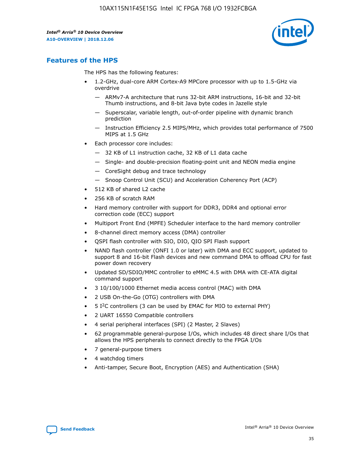

# **Features of the HPS**

The HPS has the following features:

- 1.2-GHz, dual-core ARM Cortex-A9 MPCore processor with up to 1.5-GHz via overdrive
	- ARMv7-A architecture that runs 32-bit ARM instructions, 16-bit and 32-bit Thumb instructions, and 8-bit Java byte codes in Jazelle style
	- Superscalar, variable length, out-of-order pipeline with dynamic branch prediction
	- Instruction Efficiency 2.5 MIPS/MHz, which provides total performance of 7500 MIPS at 1.5 GHz
- Each processor core includes:
	- 32 KB of L1 instruction cache, 32 KB of L1 data cache
	- Single- and double-precision floating-point unit and NEON media engine
	- CoreSight debug and trace technology
	- Snoop Control Unit (SCU) and Acceleration Coherency Port (ACP)
- 512 KB of shared L2 cache
- 256 KB of scratch RAM
- Hard memory controller with support for DDR3, DDR4 and optional error correction code (ECC) support
- Multiport Front End (MPFE) Scheduler interface to the hard memory controller
- 8-channel direct memory access (DMA) controller
- QSPI flash controller with SIO, DIO, QIO SPI Flash support
- NAND flash controller (ONFI 1.0 or later) with DMA and ECC support, updated to support 8 and 16-bit Flash devices and new command DMA to offload CPU for fast power down recovery
- Updated SD/SDIO/MMC controller to eMMC 4.5 with DMA with CE-ATA digital command support
- 3 10/100/1000 Ethernet media access control (MAC) with DMA
- 2 USB On-the-Go (OTG) controllers with DMA
- $\bullet$  5 I<sup>2</sup>C controllers (3 can be used by EMAC for MIO to external PHY)
- 2 UART 16550 Compatible controllers
- 4 serial peripheral interfaces (SPI) (2 Master, 2 Slaves)
- 62 programmable general-purpose I/Os, which includes 48 direct share I/Os that allows the HPS peripherals to connect directly to the FPGA I/Os
- 7 general-purpose timers
- 4 watchdog timers
- Anti-tamper, Secure Boot, Encryption (AES) and Authentication (SHA)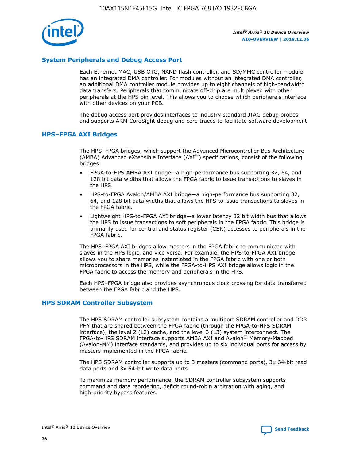

# **System Peripherals and Debug Access Port**

Each Ethernet MAC, USB OTG, NAND flash controller, and SD/MMC controller module has an integrated DMA controller. For modules without an integrated DMA controller, an additional DMA controller module provides up to eight channels of high-bandwidth data transfers. Peripherals that communicate off-chip are multiplexed with other peripherals at the HPS pin level. This allows you to choose which peripherals interface with other devices on your PCB.

The debug access port provides interfaces to industry standard JTAG debug probes and supports ARM CoreSight debug and core traces to facilitate software development.

## **HPS–FPGA AXI Bridges**

The HPS–FPGA bridges, which support the Advanced Microcontroller Bus Architecture (AMBA) Advanced eXtensible Interface (AXI™) specifications, consist of the following bridges:

- FPGA-to-HPS AMBA AXI bridge—a high-performance bus supporting 32, 64, and 128 bit data widths that allows the FPGA fabric to issue transactions to slaves in the HPS.
- HPS-to-FPGA Avalon/AMBA AXI bridge—a high-performance bus supporting 32, 64, and 128 bit data widths that allows the HPS to issue transactions to slaves in the FPGA fabric.
- Lightweight HPS-to-FPGA AXI bridge—a lower latency 32 bit width bus that allows the HPS to issue transactions to soft peripherals in the FPGA fabric. This bridge is primarily used for control and status register (CSR) accesses to peripherals in the FPGA fabric.

The HPS–FPGA AXI bridges allow masters in the FPGA fabric to communicate with slaves in the HPS logic, and vice versa. For example, the HPS-to-FPGA AXI bridge allows you to share memories instantiated in the FPGA fabric with one or both microprocessors in the HPS, while the FPGA-to-HPS AXI bridge allows logic in the FPGA fabric to access the memory and peripherals in the HPS.

Each HPS–FPGA bridge also provides asynchronous clock crossing for data transferred between the FPGA fabric and the HPS.

#### **HPS SDRAM Controller Subsystem**

The HPS SDRAM controller subsystem contains a multiport SDRAM controller and DDR PHY that are shared between the FPGA fabric (through the FPGA-to-HPS SDRAM interface), the level 2 (L2) cache, and the level 3 (L3) system interconnect. The FPGA-to-HPS SDRAM interface supports AMBA AXI and Avalon® Memory-Mapped (Avalon-MM) interface standards, and provides up to six individual ports for access by masters implemented in the FPGA fabric.

The HPS SDRAM controller supports up to 3 masters (command ports), 3x 64-bit read data ports and 3x 64-bit write data ports.

To maximize memory performance, the SDRAM controller subsystem supports command and data reordering, deficit round-robin arbitration with aging, and high-priority bypass features.

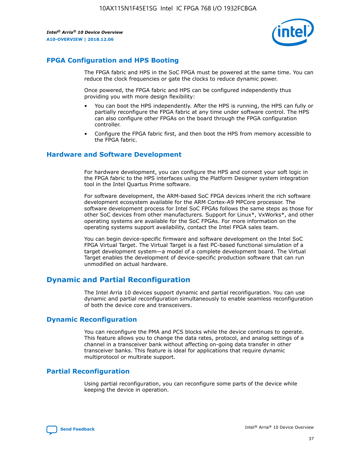

# **FPGA Configuration and HPS Booting**

The FPGA fabric and HPS in the SoC FPGA must be powered at the same time. You can reduce the clock frequencies or gate the clocks to reduce dynamic power.

Once powered, the FPGA fabric and HPS can be configured independently thus providing you with more design flexibility:

- You can boot the HPS independently. After the HPS is running, the HPS can fully or partially reconfigure the FPGA fabric at any time under software control. The HPS can also configure other FPGAs on the board through the FPGA configuration controller.
- Configure the FPGA fabric first, and then boot the HPS from memory accessible to the FPGA fabric.

## **Hardware and Software Development**

For hardware development, you can configure the HPS and connect your soft logic in the FPGA fabric to the HPS interfaces using the Platform Designer system integration tool in the Intel Quartus Prime software.

For software development, the ARM-based SoC FPGA devices inherit the rich software development ecosystem available for the ARM Cortex-A9 MPCore processor. The software development process for Intel SoC FPGAs follows the same steps as those for other SoC devices from other manufacturers. Support for Linux\*, VxWorks\*, and other operating systems are available for the SoC FPGAs. For more information on the operating systems support availability, contact the Intel FPGA sales team.

You can begin device-specific firmware and software development on the Intel SoC FPGA Virtual Target. The Virtual Target is a fast PC-based functional simulation of a target development system—a model of a complete development board. The Virtual Target enables the development of device-specific production software that can run unmodified on actual hardware.

# **Dynamic and Partial Reconfiguration**

The Intel Arria 10 devices support dynamic and partial reconfiguration. You can use dynamic and partial reconfiguration simultaneously to enable seamless reconfiguration of both the device core and transceivers.

# **Dynamic Reconfiguration**

You can reconfigure the PMA and PCS blocks while the device continues to operate. This feature allows you to change the data rates, protocol, and analog settings of a channel in a transceiver bank without affecting on-going data transfer in other transceiver banks. This feature is ideal for applications that require dynamic multiprotocol or multirate support.

# **Partial Reconfiguration**

Using partial reconfiguration, you can reconfigure some parts of the device while keeping the device in operation.

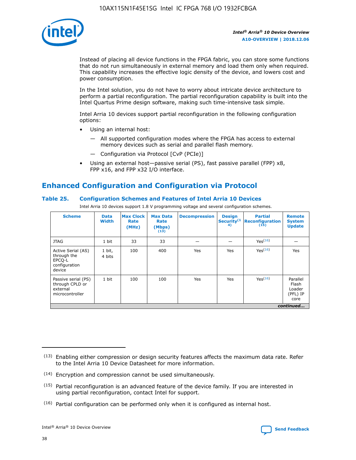

Instead of placing all device functions in the FPGA fabric, you can store some functions that do not run simultaneously in external memory and load them only when required. This capability increases the effective logic density of the device, and lowers cost and power consumption.

In the Intel solution, you do not have to worry about intricate device architecture to perform a partial reconfiguration. The partial reconfiguration capability is built into the Intel Quartus Prime design software, making such time-intensive task simple.

Intel Arria 10 devices support partial reconfiguration in the following configuration options:

- Using an internal host:
	- All supported configuration modes where the FPGA has access to external memory devices such as serial and parallel flash memory.
	- Configuration via Protocol [CvP (PCIe)]
- Using an external host—passive serial (PS), fast passive parallel (FPP) x8, FPP x16, and FPP x32 I/O interface.

# **Enhanced Configuration and Configuration via Protocol**

## **Table 25. Configuration Schemes and Features of Intel Arria 10 Devices**

Intel Arria 10 devices support 1.8 V programming voltage and several configuration schemes.

| <b>Scheme</b>                                                          | <b>Data</b><br><b>Width</b> | <b>Max Clock</b><br>Rate<br>(MHz) | <b>Max Data</b><br>Rate<br>(Mbps)<br>(13) | <b>Decompression</b> | <b>Design</b><br>Security <sup>(1</sup><br>4) | <b>Partial</b><br><b>Reconfiguration</b><br>(15) | <b>Remote</b><br><b>System</b><br><b>Update</b> |
|------------------------------------------------------------------------|-----------------------------|-----------------------------------|-------------------------------------------|----------------------|-----------------------------------------------|--------------------------------------------------|-------------------------------------------------|
| <b>JTAG</b>                                                            | 1 bit                       | 33                                | 33                                        |                      |                                               | Yes(16)                                          |                                                 |
| Active Serial (AS)<br>through the<br>EPCO-L<br>configuration<br>device | 1 bit,<br>4 bits            | 100                               | 400                                       | Yes                  | Yes                                           | $Y_{PS}(16)$                                     | Yes                                             |
| Passive serial (PS)<br>through CPLD or<br>external<br>microcontroller  | 1 bit                       | 100                               | 100                                       | Yes                  | Yes                                           | Yes <sup>(16)</sup>                              | Parallel<br>Flash<br>Loader<br>(PFL) IP<br>core |
|                                                                        |                             |                                   |                                           |                      |                                               |                                                  | continued                                       |

<sup>(13)</sup> Enabling either compression or design security features affects the maximum data rate. Refer to the Intel Arria 10 Device Datasheet for more information.

<sup>(14)</sup> Encryption and compression cannot be used simultaneously.

 $(15)$  Partial reconfiguration is an advanced feature of the device family. If you are interested in using partial reconfiguration, contact Intel for support.

 $(16)$  Partial configuration can be performed only when it is configured as internal host.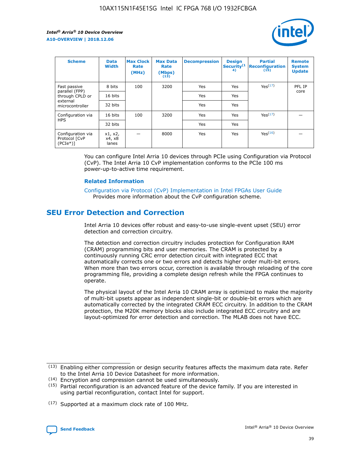

| <b>Scheme</b>                                    | <b>Data</b><br><b>Width</b> | <b>Max Clock</b><br>Rate<br>(MHz) | <b>Max Data</b><br>Rate<br>(Mbps)<br>(13) | <b>Decompression</b> | <b>Design</b><br>Security <sup>(1</sup><br>4) | <b>Partial</b><br><b>Reconfiguration</b><br>(15) | <b>Remote</b><br><b>System</b><br><b>Update</b> |
|--------------------------------------------------|-----------------------------|-----------------------------------|-------------------------------------------|----------------------|-----------------------------------------------|--------------------------------------------------|-------------------------------------------------|
| Fast passive                                     | 8 bits                      | 100                               | 3200                                      | Yes                  | Yes                                           | Yes(17)                                          | PFL IP                                          |
| parallel (FPP)<br>through CPLD or                | 16 bits                     |                                   |                                           | Yes                  | Yes                                           |                                                  | core                                            |
| external<br>microcontroller                      | 32 bits                     |                                   |                                           | Yes                  | Yes                                           |                                                  |                                                 |
| Configuration via                                | 16 bits                     | 100                               | 3200                                      | Yes                  | Yes                                           | Yes <sup>(17)</sup>                              |                                                 |
| <b>HPS</b>                                       | 32 bits                     |                                   |                                           | Yes                  | Yes                                           |                                                  |                                                 |
| Configuration via<br>Protocol [CvP<br>$(PCIe^*)$ | x1, x2,<br>x4, x8<br>lanes  |                                   | 8000                                      | Yes                  | Yes                                           | Yes <sup>(16)</sup>                              |                                                 |

You can configure Intel Arria 10 devices through PCIe using Configuration via Protocol (CvP). The Intel Arria 10 CvP implementation conforms to the PCIe 100 ms power-up-to-active time requirement.

#### **Related Information**

[Configuration via Protocol \(CvP\) Implementation in Intel FPGAs User Guide](https://www.intel.com/content/www/us/en/programmable/documentation/dsu1441819344145.html#dsu1442269728522) Provides more information about the CvP configuration scheme.

# **SEU Error Detection and Correction**

Intel Arria 10 devices offer robust and easy-to-use single-event upset (SEU) error detection and correction circuitry.

The detection and correction circuitry includes protection for Configuration RAM (CRAM) programming bits and user memories. The CRAM is protected by a continuously running CRC error detection circuit with integrated ECC that automatically corrects one or two errors and detects higher order multi-bit errors. When more than two errors occur, correction is available through reloading of the core programming file, providing a complete design refresh while the FPGA continues to operate.

The physical layout of the Intel Arria 10 CRAM array is optimized to make the majority of multi-bit upsets appear as independent single-bit or double-bit errors which are automatically corrected by the integrated CRAM ECC circuitry. In addition to the CRAM protection, the M20K memory blocks also include integrated ECC circuitry and are layout-optimized for error detection and correction. The MLAB does not have ECC.

(14) Encryption and compression cannot be used simultaneously.

<sup>(17)</sup> Supported at a maximum clock rate of 100 MHz.



 $(13)$  Enabling either compression or design security features affects the maximum data rate. Refer to the Intel Arria 10 Device Datasheet for more information.

 $(15)$  Partial reconfiguration is an advanced feature of the device family. If you are interested in using partial reconfiguration, contact Intel for support.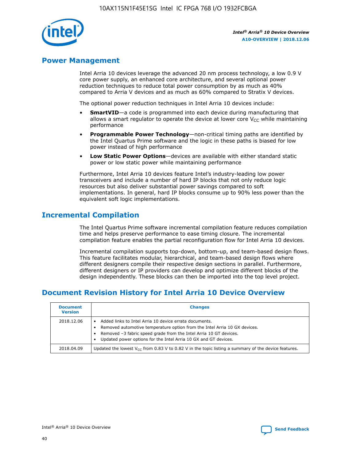

# **Power Management**

Intel Arria 10 devices leverage the advanced 20 nm process technology, a low 0.9 V core power supply, an enhanced core architecture, and several optional power reduction techniques to reduce total power consumption by as much as 40% compared to Arria V devices and as much as 60% compared to Stratix V devices.

The optional power reduction techniques in Intel Arria 10 devices include:

- **SmartVID**—a code is programmed into each device during manufacturing that allows a smart regulator to operate the device at lower core  $V_{CC}$  while maintaining performance
- **Programmable Power Technology**—non-critical timing paths are identified by the Intel Quartus Prime software and the logic in these paths is biased for low power instead of high performance
- **Low Static Power Options**—devices are available with either standard static power or low static power while maintaining performance

Furthermore, Intel Arria 10 devices feature Intel's industry-leading low power transceivers and include a number of hard IP blocks that not only reduce logic resources but also deliver substantial power savings compared to soft implementations. In general, hard IP blocks consume up to 90% less power than the equivalent soft logic implementations.

# **Incremental Compilation**

The Intel Quartus Prime software incremental compilation feature reduces compilation time and helps preserve performance to ease timing closure. The incremental compilation feature enables the partial reconfiguration flow for Intel Arria 10 devices.

Incremental compilation supports top-down, bottom-up, and team-based design flows. This feature facilitates modular, hierarchical, and team-based design flows where different designers compile their respective design sections in parallel. Furthermore, different designers or IP providers can develop and optimize different blocks of the design independently. These blocks can then be imported into the top level project.

# **Document Revision History for Intel Arria 10 Device Overview**

| <b>Document</b><br><b>Version</b> | <b>Changes</b>                                                                                                                                                                                                                                                              |
|-----------------------------------|-----------------------------------------------------------------------------------------------------------------------------------------------------------------------------------------------------------------------------------------------------------------------------|
| 2018.12.06                        | Added links to Intel Arria 10 device errata documents.<br>Removed automotive temperature option from the Intel Arria 10 GX devices.<br>Removed -3 fabric speed grade from the Intel Arria 10 GT devices.<br>Updated power options for the Intel Arria 10 GX and GT devices. |
| 2018.04.09                        | Updated the lowest $V_{CC}$ from 0.83 V to 0.82 V in the topic listing a summary of the device features.                                                                                                                                                                    |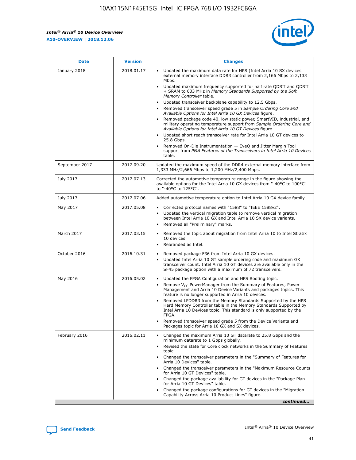#### *Intel® Arria® 10 Device Overview* **A10-OVERVIEW | 2018.12.06**



| <b>Date</b>    | <b>Version</b> | <b>Changes</b>                                                                                                                                                                                                                                                                                                                                                                                                                                                                                                                                                                                                                                                                                                                                                                                                                                                                                                                                                            |
|----------------|----------------|---------------------------------------------------------------------------------------------------------------------------------------------------------------------------------------------------------------------------------------------------------------------------------------------------------------------------------------------------------------------------------------------------------------------------------------------------------------------------------------------------------------------------------------------------------------------------------------------------------------------------------------------------------------------------------------------------------------------------------------------------------------------------------------------------------------------------------------------------------------------------------------------------------------------------------------------------------------------------|
| January 2018   | 2018.01.17     | Updated the maximum data rate for HPS (Intel Arria 10 SX devices<br>external memory interface DDR3 controller from 2,166 Mbps to 2,133<br>Mbps.<br>Updated maximum frequency supported for half rate QDRII and QDRII<br>+ SRAM to 633 MHz in Memory Standards Supported by the Soft<br>Memory Controller table.<br>Updated transceiver backplane capability to 12.5 Gbps.<br>$\bullet$<br>Removed transceiver speed grade 5 in Sample Ordering Core and<br>Available Options for Intel Arria 10 GX Devices figure.<br>Removed package code 40, low static power, SmartVID, industrial, and<br>military operating temperature support from Sample Ordering Core and<br>Available Options for Intel Arria 10 GT Devices figure.<br>Updated short reach transceiver rate for Intel Arria 10 GT devices to<br>25.8 Gbps.<br>Removed On-Die Instrumentation - EyeQ and Jitter Margin Tool<br>support from PMA Features of the Transceivers in Intel Arria 10 Devices<br>table. |
| September 2017 | 2017.09.20     | Updated the maximum speed of the DDR4 external memory interface from<br>1,333 MHz/2,666 Mbps to 1,200 MHz/2,400 Mbps.                                                                                                                                                                                                                                                                                                                                                                                                                                                                                                                                                                                                                                                                                                                                                                                                                                                     |
| July 2017      | 2017.07.13     | Corrected the automotive temperature range in the figure showing the<br>available options for the Intel Arria 10 GX devices from "-40°C to 100°C"<br>to "-40°C to 125°C".                                                                                                                                                                                                                                                                                                                                                                                                                                                                                                                                                                                                                                                                                                                                                                                                 |
| July 2017      | 2017.07.06     | Added automotive temperature option to Intel Arria 10 GX device family.                                                                                                                                                                                                                                                                                                                                                                                                                                                                                                                                                                                                                                                                                                                                                                                                                                                                                                   |
| May 2017       | 2017.05.08     | Corrected protocol names with "1588" to "IEEE 1588v2".<br>$\bullet$<br>Updated the vertical migration table to remove vertical migration<br>$\bullet$<br>between Intel Arria 10 GX and Intel Arria 10 SX device variants.<br>Removed all "Preliminary" marks.<br>$\bullet$                                                                                                                                                                                                                                                                                                                                                                                                                                                                                                                                                                                                                                                                                                |
| March 2017     | 2017.03.15     | Removed the topic about migration from Intel Arria 10 to Intel Stratix<br>$\bullet$<br>10 devices.<br>Rebranded as Intel.<br>$\bullet$                                                                                                                                                                                                                                                                                                                                                                                                                                                                                                                                                                                                                                                                                                                                                                                                                                    |
| October 2016   | 2016.10.31     | Removed package F36 from Intel Arria 10 GX devices.<br>Updated Intel Arria 10 GT sample ordering code and maximum GX<br>$\bullet$<br>transceiver count. Intel Arria 10 GT devices are available only in the<br>SF45 package option with a maximum of 72 transceivers.                                                                                                                                                                                                                                                                                                                                                                                                                                                                                                                                                                                                                                                                                                     |
| May 2016       | 2016.05.02     | Updated the FPGA Configuration and HPS Booting topic.<br>$\bullet$<br>Remove V <sub>CC</sub> PowerManager from the Summary of Features, Power<br>Management and Arria 10 Device Variants and packages topics. This<br>feature is no longer supported in Arria 10 devices.<br>Removed LPDDR3 from the Memory Standards Supported by the HPS<br>Hard Memory Controller table in the Memory Standards Supported by<br>Intel Arria 10 Devices topic. This standard is only supported by the<br>FPGA.<br>Removed transceiver speed grade 5 from the Device Variants and<br>Packages topic for Arria 10 GX and SX devices.                                                                                                                                                                                                                                                                                                                                                      |
| February 2016  | 2016.02.11     | Changed the maximum Arria 10 GT datarate to 25.8 Gbps and the<br>minimum datarate to 1 Gbps globally.<br>Revised the state for Core clock networks in the Summary of Features<br>$\bullet$<br>topic.<br>Changed the transceiver parameters in the "Summary of Features for<br>$\bullet$<br>Arria 10 Devices" table.<br>• Changed the transceiver parameters in the "Maximum Resource Counts<br>for Arria 10 GT Devices" table.<br>Changed the package availability for GT devices in the "Package Plan<br>for Arria 10 GT Devices" table.<br>Changed the package configurations for GT devices in the "Migration"<br>Capability Across Arria 10 Product Lines" figure.<br>continued                                                                                                                                                                                                                                                                                       |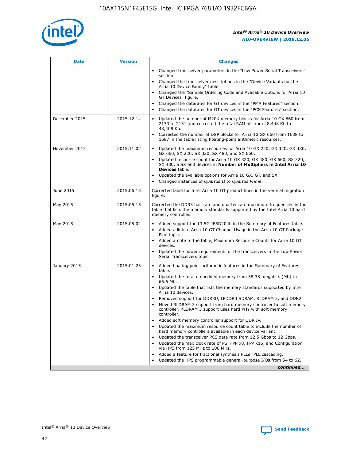

| <b>Date</b>   | <b>Version</b> | <b>Changes</b>                                                                                                                                                               |
|---------------|----------------|------------------------------------------------------------------------------------------------------------------------------------------------------------------------------|
|               |                | • Changed transceiver parameters in the "Low Power Serial Transceivers"<br>section.                                                                                          |
|               |                | • Changed the transceiver descriptions in the "Device Variants for the<br>Arria 10 Device Family" table.                                                                     |
|               |                | Changed the "Sample Ordering Code and Available Options for Arria 10<br>$\bullet$<br>GT Devices" figure.                                                                     |
|               |                | Changed the datarates for GT devices in the "PMA Features" section.                                                                                                          |
|               |                | Changed the datarates for GT devices in the "PCS Features" section.<br>$\bullet$                                                                                             |
| December 2015 | 2015.12.14     | Updated the number of M20K memory blocks for Arria 10 GX 660 from<br>2133 to 2131 and corrected the total RAM bit from 48,448 Kb to<br>48,408 Kb.                            |
|               |                | Corrected the number of DSP blocks for Arria 10 GX 660 from 1688 to<br>1687 in the table listing floating-point arithmetic resources.                                        |
| November 2015 | 2015.11.02     | Updated the maximum resources for Arria 10 GX 220, GX 320, GX 480,<br>$\bullet$<br>GX 660, SX 220, SX 320, SX 480, and SX 660.                                               |
|               |                | • Updated resource count for Arria 10 GX 320, GX 480, GX 660, SX 320,<br>SX 480, a SX 660 devices in Number of Multipliers in Intel Arria 10<br><b>Devices</b> table.        |
|               |                | Updated the available options for Arria 10 GX, GT, and SX.                                                                                                                   |
|               |                | Changed instances of Quartus II to Quartus Prime.<br>$\bullet$                                                                                                               |
| June 2015     | 2015.06.15     | Corrected label for Intel Arria 10 GT product lines in the vertical migration<br>figure.                                                                                     |
| May 2015      | 2015.05.15     | Corrected the DDR3 half rate and quarter rate maximum frequencies in the<br>table that lists the memory standards supported by the Intel Arria 10 hard<br>memory controller. |
| May 2015      | 2015.05.04     | • Added support for 13.5G JESD204b in the Summary of Features table.<br>• Added a link to Arria 10 GT Channel Usage in the Arria 10 GT Package<br>Plan topic.                |
|               |                | • Added a note to the table, Maximum Resource Counts for Arria 10 GT<br>devices.                                                                                             |
|               |                | • Updated the power requirements of the transceivers in the Low Power<br>Serial Transceivers topic.                                                                          |
| January 2015  | 2015.01.23     | • Added floating point arithmetic features in the Summary of Features<br>table.                                                                                              |
|               |                | • Updated the total embedded memory from 38.38 megabits (Mb) to<br>65.6 Mb.                                                                                                  |
|               |                | • Updated the table that lists the memory standards supported by Intel<br>Arria 10 devices.                                                                                  |
|               |                | Removed support for DDR3U, LPDDR3 SDRAM, RLDRAM 2, and DDR2.                                                                                                                 |
|               |                | Moved RLDRAM 3 support from hard memory controller to soft memory<br>controller. RLDRAM 3 support uses hard PHY with soft memory<br>controller.                              |
|               |                | Added soft memory controller support for QDR IV.<br>٠                                                                                                                        |
|               |                | Updated the maximum resource count table to include the number of<br>hard memory controllers available in each device variant.                                               |
|               |                | Updated the transceiver PCS data rate from 12.5 Gbps to 12 Gbps.<br>$\bullet$                                                                                                |
|               |                | Updated the max clock rate of PS, FPP x8, FPP x16, and Configuration<br>via HPS from 125 MHz to 100 MHz.                                                                     |
|               |                | Added a feature for fractional synthesis PLLs: PLL cascading.                                                                                                                |
|               |                | Updated the HPS programmable general-purpose I/Os from 54 to 62.<br>$\bullet$<br>continued                                                                                   |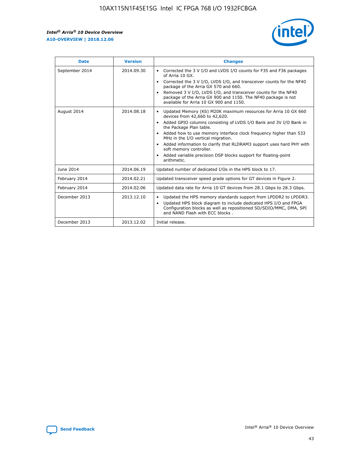r



| <b>Date</b>    | <b>Version</b> | <b>Changes</b>                                                                                                                                                                                                                                                                                                                                                                                                                                                                                                                                      |
|----------------|----------------|-----------------------------------------------------------------------------------------------------------------------------------------------------------------------------------------------------------------------------------------------------------------------------------------------------------------------------------------------------------------------------------------------------------------------------------------------------------------------------------------------------------------------------------------------------|
| September 2014 | 2014.09.30     | Corrected the 3 V I/O and LVDS I/O counts for F35 and F36 packages<br>$\bullet$<br>of Arria 10 GX.<br>Corrected the 3 V I/O, LVDS I/O, and transceiver counts for the NF40<br>$\bullet$<br>package of the Arria GX 570 and 660.<br>Removed 3 V I/O, LVDS I/O, and transceiver counts for the NF40<br>٠<br>package of the Arria GX 900 and 1150. The NF40 package is not<br>available for Arria 10 GX 900 and 1150.                                                                                                                                  |
| August 2014    | 2014.08.18     | Updated Memory (Kb) M20K maximum resources for Arria 10 GX 660<br>devices from 42,660 to 42,620.<br>Added GPIO columns consisting of LVDS I/O Bank and 3V I/O Bank in<br>$\bullet$<br>the Package Plan table.<br>Added how to use memory interface clock frequency higher than 533<br>$\bullet$<br>MHz in the I/O vertical migration.<br>Added information to clarify that RLDRAM3 support uses hard PHY with<br>$\bullet$<br>soft memory controller.<br>Added variable precision DSP blocks support for floating-point<br>$\bullet$<br>arithmetic. |
| June 2014      | 2014.06.19     | Updated number of dedicated I/Os in the HPS block to 17.                                                                                                                                                                                                                                                                                                                                                                                                                                                                                            |
| February 2014  | 2014.02.21     | Updated transceiver speed grade options for GT devices in Figure 2.                                                                                                                                                                                                                                                                                                                                                                                                                                                                                 |
| February 2014  | 2014.02.06     | Updated data rate for Arria 10 GT devices from 28.1 Gbps to 28.3 Gbps.                                                                                                                                                                                                                                                                                                                                                                                                                                                                              |
| December 2013  | 2013.12.10     | Updated the HPS memory standards support from LPDDR2 to LPDDR3.<br>Updated HPS block diagram to include dedicated HPS I/O and FPGA<br>$\bullet$<br>Configuration blocks as well as repositioned SD/SDIO/MMC, DMA, SPI<br>and NAND Flash with ECC blocks.                                                                                                                                                                                                                                                                                            |
| December 2013  | 2013.12.02     | Initial release.                                                                                                                                                                                                                                                                                                                                                                                                                                                                                                                                    |